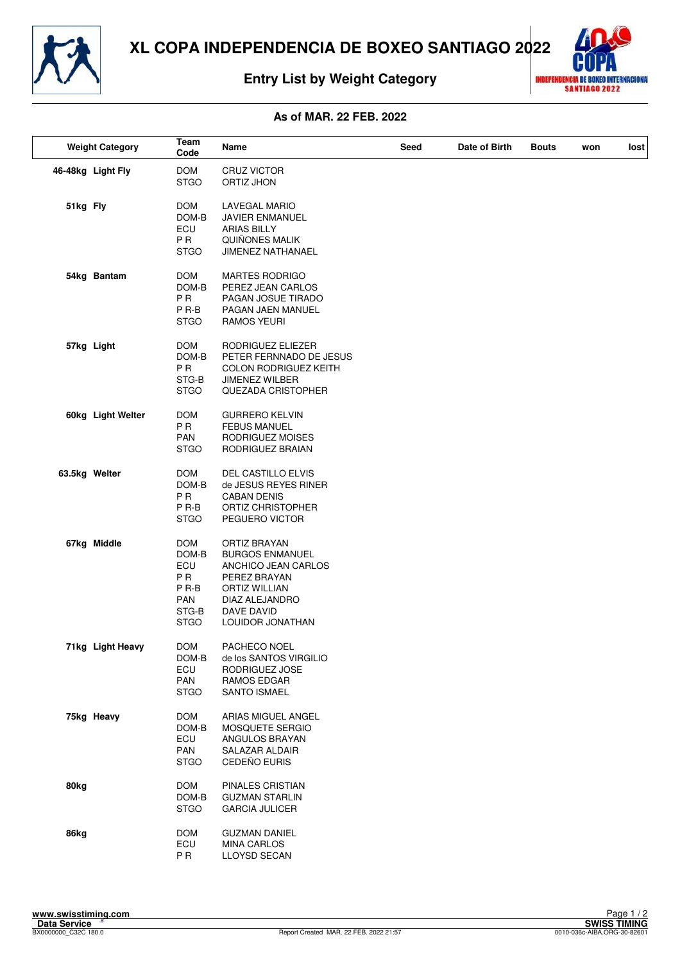

# **Entry List by Weight Category**



## **As of MAR. 22 FEB. 2022**

|               | <b>Weight Category</b> | Team<br>Code                                                                                    | Name                                                                                                                                                             | Seed | Date of Birth | <b>Bouts</b> | won | lost |
|---------------|------------------------|-------------------------------------------------------------------------------------------------|------------------------------------------------------------------------------------------------------------------------------------------------------------------|------|---------------|--------------|-----|------|
|               | 46-48kg Light Fly      | <b>DOM</b><br><b>STGO</b>                                                                       | <b>CRUZ VICTOR</b><br>ORTIZ JHON                                                                                                                                 |      |               |              |     |      |
| 51kg Fly      |                        | <b>DOM</b><br>DOM-B<br>ECU<br>P <sub>R</sub><br><b>STGO</b>                                     | <b>LAVEGAL MARIO</b><br><b>JAVIER ENMANUEL</b><br><b>ARIAS BILLY</b><br>QUIÑONES MALIK<br>JIMENEZ NATHANAEL                                                      |      |               |              |     |      |
|               | 54kg Bantam            | DOM<br>DOM-B<br>P <sub>R</sub><br>P R-B<br><b>STGO</b>                                          | <b>MARTES RODRIGO</b><br>PEREZ JEAN CARLOS<br>PAGAN JOSUE TIRADO<br>PAGAN JAEN MANUEL<br>RAMOS YEURI                                                             |      |               |              |     |      |
|               | 57kg Light             | <b>DOM</b><br>DOM-B<br>P <sub>R</sub><br>STG-B<br><b>STGO</b>                                   | RODRIGUEZ ELIEZER<br>PETER FERNNADO DE JESUS<br><b>COLON RODRIGUEZ KEITH</b><br><b>JIMENEZ WILBER</b><br>QUEZADA CRISTOPHER                                      |      |               |              |     |      |
|               | 60kg Light Welter      | <b>DOM</b><br>P <sub>R</sub><br><b>PAN</b><br><b>STGO</b>                                       | <b>GURRERO KELVIN</b><br><b>FEBUS MANUEL</b><br>RODRIGUEZ MOISES<br>RODRIGUEZ BRAIAN                                                                             |      |               |              |     |      |
| 63.5kg Welter |                        | <b>DOM</b><br>DOM-B<br>P <sub>R</sub><br>P R-B<br><b>STGO</b>                                   | DEL CASTILLO ELVIS<br>de JESUS REYES RINER<br><b>CABAN DENIS</b><br>ORTIZ CHRISTOPHER<br>PEGUERO VICTOR                                                          |      |               |              |     |      |
|               | 67kg Middle            | <b>DOM</b><br>DOM-B<br>ECU<br>P <sub>R</sub><br>P <sub>R-B</sub><br>PAN<br>STG-B<br><b>STGO</b> | ORTIZ BRAYAN<br><b>BURGOS ENMANUEL</b><br>ANCHICO JEAN CARLOS<br>PEREZ BRAYAN<br><b>ORTIZ WILLIAN</b><br>DIAZ ALEJANDRO<br>DAVE DAVID<br><b>LOUIDOR JONATHAN</b> |      |               |              |     |      |
|               | 71kg Light Heavy       | <b>DOM</b><br>DOM-B<br>ECU<br>PAN<br><b>STGO</b>                                                | PACHECO NOEL<br>de los SANTOS VIRGILIO<br>RODRIGUEZ JOSE<br>RAMOS EDGAR<br><b>SANTO ISMAEL</b>                                                                   |      |               |              |     |      |
|               | 75kg Heavy             | <b>DOM</b><br>DOM-B<br>ECU<br>PAN<br><b>STGO</b>                                                | ARIAS MIGUEL ANGEL<br>MOSQUETE SERGIO<br>ANGULOS BRAYAN<br>SALAZAR ALDAIR<br>CEDEÑO EURIS                                                                        |      |               |              |     |      |
| 80kg          |                        | <b>DOM</b><br>DOM-B<br><b>STGO</b>                                                              | PINALES CRISTIAN<br><b>GUZMAN STARLIN</b><br><b>GARCIA JULICER</b>                                                                                               |      |               |              |     |      |
| 86kg          |                        | <b>DOM</b><br>ECU<br>P <sub>R</sub>                                                             | <b>GUZMAN DANIEL</b><br><b>MINA CARLOS</b><br>LLOYSD SECAN                                                                                                       |      |               |              |     |      |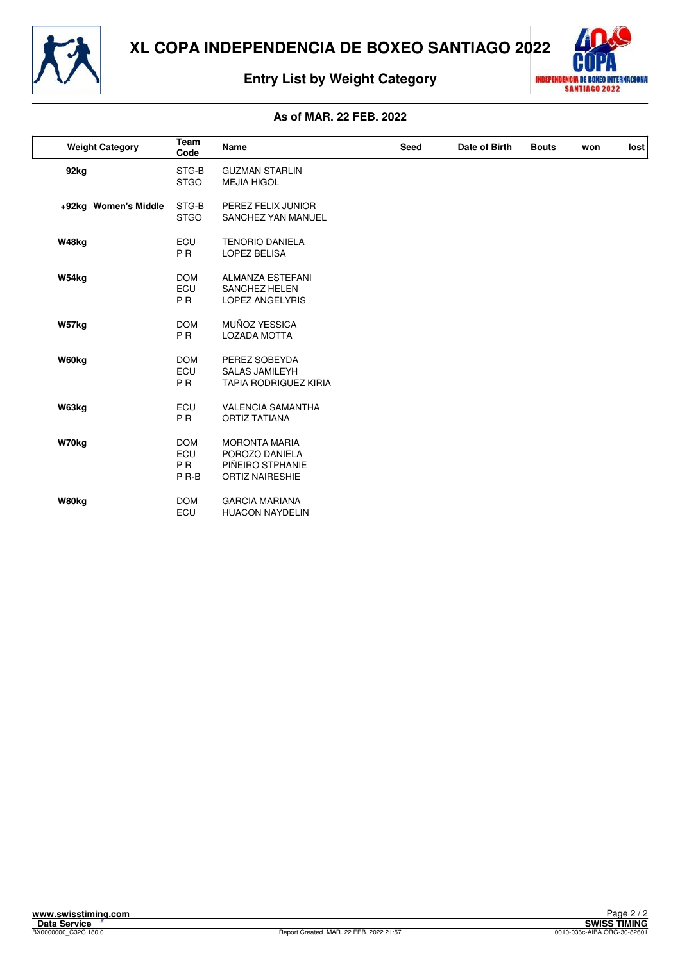

# **Entry List by Weight Category**



## **As of MAR. 22 FEB. 2022**

| <b>Weight Category</b> | Team<br>Code                                            | <b>Name</b>                                                                          | <b>Seed</b> | Date of Birth | <b>Bouts</b> | won | lost |
|------------------------|---------------------------------------------------------|--------------------------------------------------------------------------------------|-------------|---------------|--------------|-----|------|
| 92kg                   | STG-B<br><b>STGO</b>                                    | <b>GUZMAN STARLIN</b><br><b>MEJIA HIGOL</b>                                          |             |               |              |     |      |
| +92kg Women's Middle   | STG-B<br><b>STGO</b>                                    | PEREZ FELIX JUNIOR<br>SANCHEZ YAN MANUEL                                             |             |               |              |     |      |
| W48kg                  | ECU<br>P <sub>R</sub>                                   | <b>TENORIO DANIELA</b><br><b>LOPEZ BELISA</b>                                        |             |               |              |     |      |
| W54kg                  | <b>DOM</b><br>ECU<br><b>PR</b>                          | <b>ALMANZA ESTEFANI</b><br><b>SANCHEZ HELEN</b><br><b>LOPEZ ANGELYRIS</b>            |             |               |              |     |      |
| W57kg                  | <b>DOM</b><br><b>PR</b>                                 | MUÑOZ YESSICA<br><b>LOZADA MOTTA</b>                                                 |             |               |              |     |      |
| W60kg                  | <b>DOM</b><br>ECU<br><b>PR</b>                          | PEREZ SOBEYDA<br><b>SALAS JAMILEYH</b><br><b>TAPIA RODRIGUEZ KIRIA</b>               |             |               |              |     |      |
| W63kg                  | ECU<br><b>PR</b>                                        | <b>VALENCIA SAMANTHA</b><br><b>ORTIZ TATIANA</b>                                     |             |               |              |     |      |
| W70kg                  | <b>DOM</b><br>ECU<br>P <sub>R</sub><br>P <sub>R-B</sub> | <b>MORONTA MARIA</b><br>POROZO DANIELA<br>PIÑEIRO STPHANIE<br><b>ORTIZ NAIRESHIE</b> |             |               |              |     |      |
| W80kg                  | <b>DOM</b><br>ECU                                       | <b>GARCIA MARIANA</b><br><b>HUACON NAYDELIN</b>                                      |             |               |              |     |      |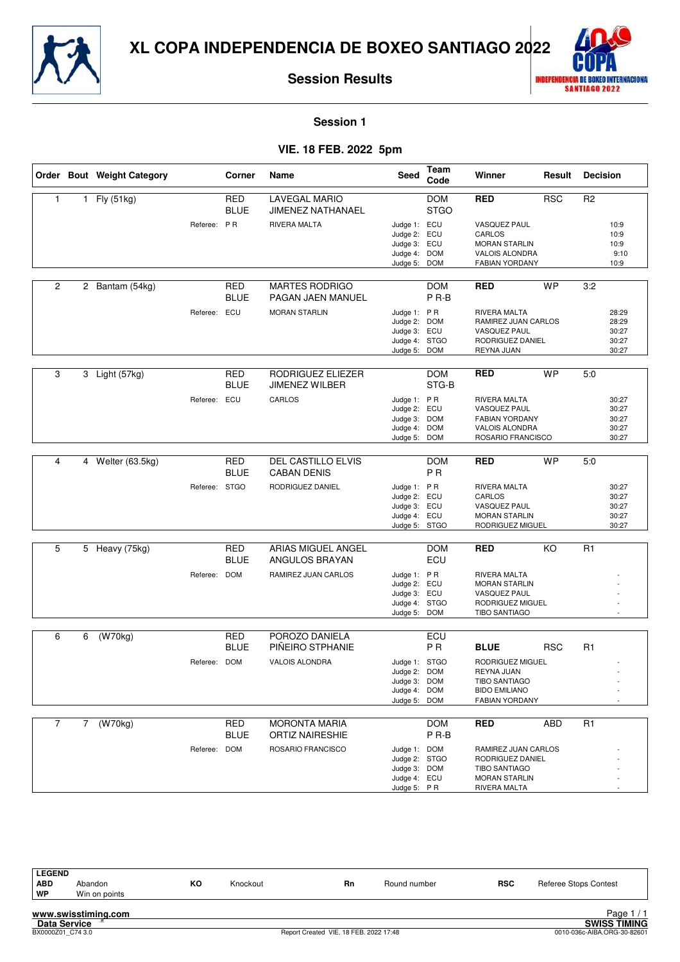



**Session 1**

## **VIE. 18 FEB. 2022 5pm**

|                |             | Order Bout Weight Category |               | Corner                    | Name                                             | <b>Seed</b>                                                                  | Team<br>Code                   | Winner                                                                                                  | Result     | <b>Decision</b> |                                           |
|----------------|-------------|----------------------------|---------------|---------------------------|--------------------------------------------------|------------------------------------------------------------------------------|--------------------------------|---------------------------------------------------------------------------------------------------------|------------|-----------------|-------------------------------------------|
| $\mathbf{1}$   |             | 1 Fly (51kg)               |               | <b>RED</b><br><b>BLUE</b> | <b>LAVEGAL MARIO</b><br><b>JIMENEZ NATHANAEL</b> |                                                                              | <b>DOM</b><br><b>STGO</b>      | <b>RED</b>                                                                                              | <b>RSC</b> | R <sub>2</sub>  |                                           |
|                |             |                            | Referee: PR   |                           | RIVERA MALTA                                     | Judge 1: ECU<br>Judge 2: ECU<br>Judge 3: ECU<br>Judge 4: DOM<br>Judge 5:     | <b>DOM</b>                     | <b>VASQUEZ PAUL</b><br>CARLOS<br><b>MORAN STARLIN</b><br>VALOIS ALONDRA<br>FABIAN YORDANY               |            |                 | 10:9<br>10:9<br>10:9<br>9:10<br>10:9      |
| $\overline{c}$ | $^{2}$      | Bantam (54kg)              |               | RED<br><b>BLUE</b>        | <b>MARTES RODRIGO</b><br>PAGAN JAEN MANUEL       |                                                                              | <b>DOM</b><br>P <sub>R-B</sub> | <b>RED</b>                                                                                              | <b>WP</b>  | 3:2             |                                           |
|                |             |                            | Referee: ECU  |                           | <b>MORAN STARLIN</b>                             | Judge 1: PR<br>Judge 2: DOM<br>Judge 3: ECU<br>Judge 4: STGO<br>Judge 5: DOM |                                | RIVERA MALTA<br>RAMIREZ JUAN CARLOS<br><b>VASQUEZ PAUL</b><br>RODRIGUEZ DANIEL<br>REYNA JUAN            |            |                 | 28:29<br>28:29<br>30:27<br>30:27<br>30:27 |
| 3              |             | 3 Light (57kg)             |               | <b>RED</b><br><b>BLUE</b> | RODRIGUEZ ELIEZER<br><b>JIMENEZ WILBER</b>       |                                                                              | <b>DOM</b><br>STG-B            | <b>RED</b>                                                                                              | <b>WP</b>  | 5:0             |                                           |
|                |             |                            | Referee:      | ECU                       | CARLOS                                           | Judge 1: PR<br>Judge 2: ECU<br>Judge 3: DOM<br>Judge 4: DOM<br>Judge 5:      | <b>DOM</b>                     | RIVERA MALTA<br>VASQUEZ PAUL<br><b>FABIAN YORDANY</b><br>VALOIS ALONDRA<br>ROSARIO FRANCISCO            |            |                 | 30:27<br>30:27<br>30:27<br>30:27<br>30:27 |
| $\overline{4}$ |             | 4 Welter (63.5kg)          |               | <b>RED</b><br><b>BLUE</b> | <b>DEL CASTILLO ELVIS</b><br><b>CABAN DENIS</b>  |                                                                              | <b>DOM</b><br><b>PR</b>        | <b>RED</b>                                                                                              | <b>WP</b>  | 5:0             |                                           |
|                |             |                            | Referee: STGO |                           | RODRIGUEZ DANIEL                                 | Judge 1: PR<br>Judge 2: ECU<br>Judge 3: ECU<br>Judge 4: ECU<br>Judge 5: STGO |                                | RIVERA MALTA<br>CARLOS<br>VASQUEZ PAUL<br><b>MORAN STARLIN</b><br>RODRIGUEZ MIGUEL                      |            |                 | 30:27<br>30:27<br>30:27<br>30:27<br>30:27 |
| 5              |             | 5 Heavy (75kg)             |               | <b>RED</b><br><b>BLUE</b> | ARIAS MIGUEL ANGEL<br>ANGULOS BRAYAN             |                                                                              | <b>DOM</b><br>ECU              | <b>RED</b>                                                                                              | KO         | R1              |                                           |
|                |             |                            | Referee: DOM  |                           | RAMIREZ JUAN CARLOS                              | Judge 1: PR<br>Judge 2: ECU<br>Judge 3: ECU<br>Judge 4: STGO<br>Judge 5: DOM |                                | RIVERA MALTA<br><b>MORAN STARLIN</b><br><b>VASQUEZ PAUL</b><br>RODRIGUEZ MIGUEL<br><b>TIBO SANTIAGO</b> |            |                 |                                           |
| 6              | 6           | $\overline{(W70kg)}$       |               | RED                       | POROZO DANIELA                                   |                                                                              | ECU                            |                                                                                                         |            |                 |                                           |
|                |             |                            | Referee: DOM  | <b>BLUE</b>               | PIÑEIRO STPHANIE<br>VALOIS ALONDRA               | Judge 1: STGO                                                                | P <sub>R</sub>                 | <b>BLUE</b><br>RODRIGUEZ MIGUEL                                                                         | <b>RSC</b> | R1              |                                           |
|                |             |                            |               |                           |                                                  | Judge 2: DOM<br>Judge 3: DOM<br>Judge 4: DOM<br>Judge 5: DOM                 |                                | <b>REYNA JUAN</b><br><b>TIBO SANTIAGO</b><br><b>BIDO EMILIANO</b><br>FABIAN YORDANY                     |            |                 |                                           |
| $\overline{7}$ | $7^{\circ}$ | (W70kg)                    |               | <b>RED</b><br><b>BLUE</b> | <b>MORONTA MARIA</b><br><b>ORTIZ NAIRESHIE</b>   |                                                                              | <b>DOM</b><br>P <sub>R-B</sub> | <b>RED</b>                                                                                              | ABD        | R1              |                                           |
|                |             |                            | Referee: DOM  |                           | ROSARIO FRANCISCO                                | Judge 1: DOM<br>Judge 2: STGO<br>Judge 3: DOM<br>Judge 4: ECU<br>Judge 5: PR |                                | RAMIREZ JUAN CARLOS<br>RODRIGUEZ DANIEL<br><b>TIBO SANTIAGO</b><br><b>MORAN STARLIN</b><br>RIVERA MALTA |            |                 |                                           |

| <b>LEGEND</b> |               |    |          |           |              |            |                              |
|---------------|---------------|----|----------|-----------|--------------|------------|------------------------------|
| <b>ABD</b>    | Abandon       | ĸо | Knockout | <b>Rn</b> | Round number | <b>RSC</b> | <b>Referee Stops Contest</b> |
| WP            | Win on points |    |          |           |              |            |                              |
|               |               |    |          |           |              |            |                              |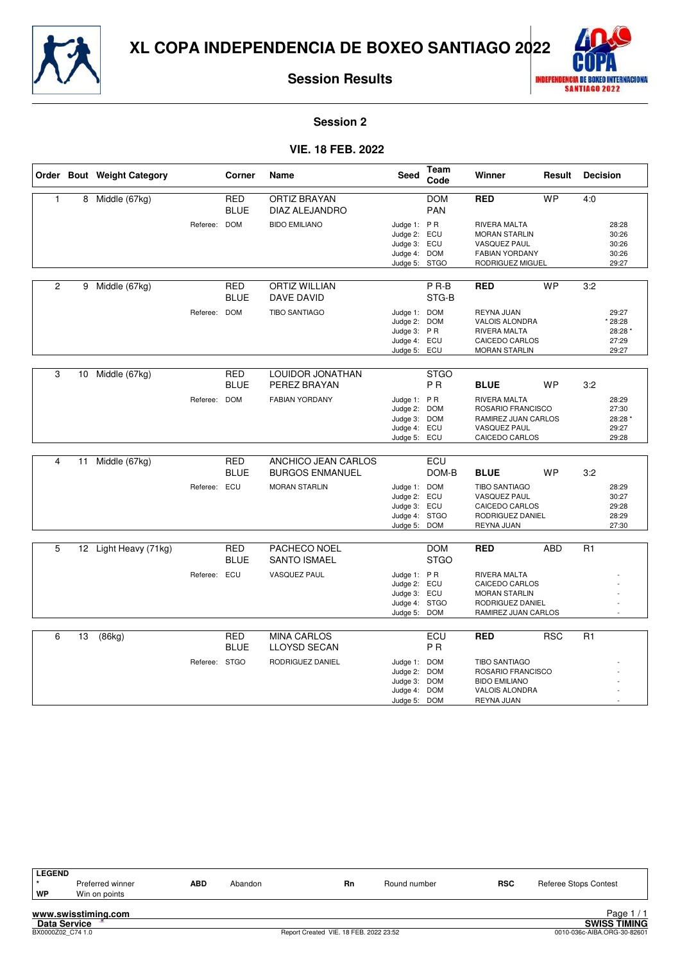



**Session 2**

## **VIE. 18 FEB. 2022**

|                |    | Order Bout Weight Category |               | Corner                    | Name                                      | <b>Seed</b>                                                                 | Team<br>Code                  | Winner                                                                                                   | Result     | <b>Decision</b> |                                               |
|----------------|----|----------------------------|---------------|---------------------------|-------------------------------------------|-----------------------------------------------------------------------------|-------------------------------|----------------------------------------------------------------------------------------------------------|------------|-----------------|-----------------------------------------------|
| $\mathbf{1}$   |    | 8 Middle (67kg)            |               | <b>RED</b><br><b>BLUE</b> | <b>ORTIZ BRAYAN</b><br>DIAZ ALEJANDRO     |                                                                             | <b>DOM</b><br><b>PAN</b>      | <b>RED</b>                                                                                               | <b>WP</b>  | 4:0             |                                               |
|                |    |                            | Referee: DOM  |                           | <b>BIDO EMILIANO</b>                      | Judge 1: PR<br>Judge 2:<br>Judge 3: ECU<br>Judge 4: DOM<br>Judge 5:         | ECU<br><b>STGO</b>            | RIVERA MALTA<br><b>MORAN STARLIN</b><br><b>VASQUEZ PAUL</b><br><b>FABIAN YORDANY</b><br>RODRIGUEZ MIGUEL |            |                 | 28:28<br>30:26<br>30:26<br>30:26<br>29:27     |
|                |    |                            |               |                           |                                           |                                                                             |                               |                                                                                                          |            |                 |                                               |
| $\overline{c}$ |    | 9 Middle (67kg)            |               | <b>RED</b><br><b>BLUE</b> | <b>ORTIZ WILLIAN</b><br><b>DAVE DAVID</b> |                                                                             | $P$ R-B<br>STG-B              | <b>RED</b>                                                                                               | <b>WP</b>  | 3:2             |                                               |
|                |    |                            | Referee: DOM  |                           | <b>TIBO SANTIAGO</b>                      | Judge 1: DOM<br>Judge 2: DOM<br>Judge 3: PR<br>Judge 4: ECU<br>Judge 5: ECU |                               | REYNA JUAN<br>VALOIS ALONDRA<br>RIVERA MALTA<br>CAICEDO CARLOS<br><b>MORAN STARLIN</b>                   |            |                 | 29:27<br>* 28:28<br>28:28 *<br>27:29<br>29:27 |
|                |    |                            |               |                           |                                           |                                                                             |                               |                                                                                                          |            |                 |                                               |
| 3              |    | 10 Middle (67kg)           |               | <b>RED</b><br><b>BLUE</b> | LOUIDOR JONATHAN<br>PEREZ BRAYAN          |                                                                             | <b>STGO</b><br>P <sub>R</sub> | <b>BLUE</b>                                                                                              | <b>WP</b>  | 3:2             |                                               |
|                |    |                            | Referee: DOM  |                           | <b>FABIAN YORDANY</b>                     | Judge 1: PR<br>Judge 2: DOM<br>Judge 3: DOM<br>Judge 4: ECU<br>Judge 5: ECU |                               | RIVERA MALTA<br>ROSARIO FRANCISCO<br>RAMIREZ JUAN CARLOS<br><b>VASQUEZ PAUL</b><br>CAICEDO CARLOS        |            |                 | 28:29<br>27:30<br>28:28 *<br>29:27<br>29:28   |
| 4              | 11 | Middle (67kg)              |               | <b>RED</b>                | ANCHICO JEAN CARLOS                       |                                                                             | <b>ECU</b>                    |                                                                                                          |            |                 |                                               |
|                |    |                            |               | <b>BLUE</b>               | <b>BURGOS ENMANUEL</b>                    |                                                                             | DOM-B                         | <b>BLUE</b>                                                                                              | <b>WP</b>  | 3:2             |                                               |
|                |    |                            | Referee: ECU  |                           | <b>MORAN STARLIN</b>                      | Judge 1: DOM<br>Judge 2:<br>Judge 3: ECU<br>Judge 4: STGO<br>Judge 5: DOM   | ECU                           | <b>TIBO SANTIAGO</b><br>VASQUEZ PAUL<br>CAICEDO CARLOS<br>RODRIGUEZ DANIEL<br>REYNA JUAN                 |            |                 | 28:29<br>30:27<br>29:28<br>28:29<br>27:30     |
| 5              |    | 12 Light Heavy (71kg)      |               | <b>RED</b>                | PACHECO NOEL                              |                                                                             | <b>DOM</b>                    | <b>RED</b>                                                                                               | <b>ABD</b> | R <sub>1</sub>  |                                               |
|                |    |                            |               | <b>BLUE</b>               | <b>SANTO ISMAEL</b>                       |                                                                             | <b>STGO</b>                   |                                                                                                          |            |                 |                                               |
|                |    |                            | Referee: ECU  |                           | <b>VASQUEZ PAUL</b>                       | Judge 1: PR<br>Judge 2: ECU<br>Judge 3: ECU<br>Judge 4:<br>Judge 5: DOM     | <b>STGO</b>                   | RIVERA MALTA<br>CAICEDO CARLOS<br><b>MORAN STARLIN</b><br>RODRIGUEZ DANIEL<br>RAMIREZ JUAN CARLOS        |            |                 |                                               |
|                |    |                            |               |                           |                                           |                                                                             |                               |                                                                                                          |            |                 |                                               |
| 6              | 13 | (86kg)                     |               | RED<br><b>BLUE</b>        | <b>MINA CARLOS</b><br><b>LLOYSD SECAN</b> |                                                                             | ECU<br>P <sub>R</sub>         | <b>RED</b>                                                                                               | <b>RSC</b> | R1              |                                               |
|                |    |                            | Referee: STGO |                           | RODRIGUEZ DANIEL                          | Judge 1: DOM<br>Judge 2:<br>Judge 3: DOM<br>Judge 4: DOM<br>Judge 5: DOM    | <b>DOM</b>                    | <b>TIBO SANTIAGO</b><br>ROSARIO FRANCISCO<br><b>BIDO EMILIANO</b><br><b>VALOIS ALONDRA</b><br>REYNA JUAN |            |                 |                                               |

| <b>LEGEND</b>       |                     |            |         |                                        |              |            |                              |
|---------------------|---------------------|------------|---------|----------------------------------------|--------------|------------|------------------------------|
|                     | Preferred winner    | <b>ABD</b> | Abandon | <b>Rn</b>                              | Round number | <b>RSC</b> | <b>Referee Stops Contest</b> |
| WP                  | Win on points       |            |         |                                        |              |            |                              |
|                     |                     |            |         |                                        |              |            |                              |
|                     | www.swisstiming.com |            |         |                                        |              |            | Page $1/1$                   |
| <b>Data Service</b> |                     |            |         |                                        |              |            | <b>SWISS TIMING</b>          |
| BX0000Z02 C74 1.0   |                     |            |         | Report Created VIE. 18 FEB. 2022 23:52 |              |            | 0010-036c-AIBA.ORG-30-82601  |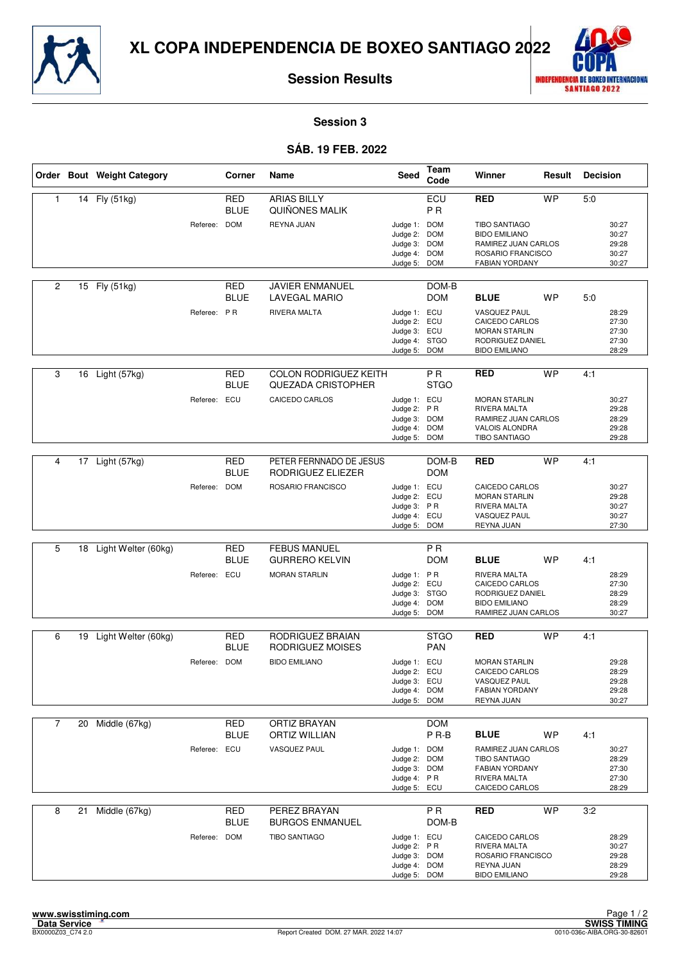



**Session 3**

## **SÁB. 19 FEB. 2022**

|                |    | Order Bout Weight Category |              | Corner                    | Name                                                      | <b>Seed</b>                                                                  | Team<br>Code                  | Winner                                                                                                                | Result    | <b>Decision</b> |                                           |
|----------------|----|----------------------------|--------------|---------------------------|-----------------------------------------------------------|------------------------------------------------------------------------------|-------------------------------|-----------------------------------------------------------------------------------------------------------------------|-----------|-----------------|-------------------------------------------|
| $\mathbf{1}$   |    | 14 Fly (51kg)              |              | <b>RED</b><br><b>BLUE</b> | <b>ARIAS BILLY</b><br>QUIÑONES MALIK                      |                                                                              | ECU<br>P <sub>R</sub>         | <b>RED</b>                                                                                                            | <b>WP</b> | 5:0             |                                           |
|                |    |                            | Referee: DOM |                           | REYNA JUAN                                                | Judge 1: DOM<br>Judge 2:<br>Judge 3: DOM<br>Judge 4: DOM<br>Judge 5:         | <b>DOM</b><br><b>DOM</b>      | TIBO SANTIAGO<br><b>BIDO EMILIANO</b><br>RAMIREZ JUAN CARLOS<br>ROSARIO FRANCISCO<br><b>FABIAN YORDANY</b>            |           |                 | 30:27<br>30:27<br>29:28<br>30:27<br>30:27 |
| $\overline{c}$ |    | 15 Fly (51kg)              |              | <b>RED</b><br><b>BLUE</b> | <b>JAVIER ENMANUEL</b><br><b>LAVEGAL MARIO</b>            |                                                                              | DOM-B<br><b>DOM</b>           | <b>BLUE</b>                                                                                                           | <b>WP</b> | 5:0             |                                           |
|                |    |                            | Referee: PR  |                           | RIVERA MALTA                                              | Judge 1: ECU<br>Judge 2: ECU<br>Judge 3: ECU<br>Judge 4: STGO<br>Judge 5:    | <b>DOM</b>                    | VASQUEZ PAUL<br>CAICEDO CARLOS<br><b>MORAN STARLIN</b><br>RODRIGUEZ DANIEL<br><b>BIDO EMILIANO</b>                    |           |                 | 28:29<br>27:30<br>27:30<br>27:30<br>28:29 |
| 3              | 16 | Light (57kg)               |              | <b>RED</b><br><b>BLUE</b> | <b>COLON RODRIGUEZ KEITH</b><br><b>QUEZADA CRISTOPHER</b> |                                                                              | P <sub>R</sub><br><b>STGO</b> | <b>RED</b>                                                                                                            | <b>WP</b> | 4:1             |                                           |
|                |    |                            | Referee: ECU |                           | CAICEDO CARLOS                                            | Judge 1: ECU<br>Judge 2: PR<br>Judge 3: DOM<br>Judge 4: DOM<br>Judge 5:      | <b>DOM</b>                    | <b>MORAN STARLIN</b><br>RIVERA MALTA<br>RAMIREZ JUAN CARLOS<br>VALOIS ALONDRA<br><b>TIBO SANTIAGO</b>                 |           |                 | 30:27<br>29:28<br>28:29<br>29:28<br>29:28 |
|                |    |                            |              |                           |                                                           |                                                                              |                               |                                                                                                                       |           |                 |                                           |
| 4              |    | 17 Light (57kg)            |              | <b>RED</b><br><b>BLUE</b> | PETER FERNNADO DE JESUS<br>RODRIGUEZ ELIEZER              |                                                                              | DOM-B<br><b>DOM</b>           | <b>RED</b>                                                                                                            | <b>WP</b> | 4:1             |                                           |
|                |    |                            | Referee: DOM |                           | ROSARIO FRANCISCO                                         | Judge 1: ECU<br>Judge 2: ECU<br>Judge 3: PR<br>Judge 4: ECU<br>Judge 5: DOM  |                               | CAICEDO CARLOS<br><b>MORAN STARLIN</b><br>RIVERA MALTA<br>VASQUEZ PAUL<br>REYNA JUAN                                  |           |                 | 30:27<br>29:28<br>30:27<br>30:27<br>27:30 |
|                |    |                            |              |                           |                                                           |                                                                              |                               |                                                                                                                       |           |                 |                                           |
| 5              | 18 | Light Welter (60kg)        |              | <b>RED</b><br><b>BLUE</b> | <b>FEBUS MANUEL</b><br><b>GURRERO KELVIN</b>              |                                                                              | P <sub>R</sub><br><b>DOM</b>  | <b>BLUE</b>                                                                                                           | <b>WP</b> | 4:1             |                                           |
|                |    |                            | Referee: ECU |                           | <b>MORAN STARLIN</b>                                      | Judge 1: PR<br>Judge 2: ECU<br>Judge 3: STGO<br>Judge 4: DOM<br>Judge 5: DOM |                               | RIVERA MALTA<br>CAICEDO CARLOS<br>RODRIGUEZ DANIEL<br><b>BIDO EMILIANO</b><br>RAMIREZ JUAN CARLOS                     |           |                 | 28:29<br>27:30<br>28:29<br>28:29<br>30:27 |
| 6              |    | 19 Light Welter (60kg)     |              | <b>RED</b><br><b>BLUE</b> | RODRIGUEZ BRAIAN<br>RODRIGUEZ MOISES                      |                                                                              | <b>STGO</b><br><b>PAN</b>     | <b>RED</b>                                                                                                            | <b>WP</b> | 4:1             |                                           |
|                |    |                            | Referee: DOM |                           | <b>BIDO EMILIANO</b>                                      | Judge 1: ECU<br>Judge 2: ECU<br>Judge 3: ECU<br>Judge 4: DOM<br>Judge 5:     | <b>DOM</b>                    | <b>MORAN STARLIN</b><br>CAICEDO CARLOS<br>VASQUEZ PAUL<br><b>FABIAN YORDANY</b><br>REYNA JUAN                         |           |                 | 29:28<br>28:29<br>29:28<br>29:28<br>30:27 |
| 7              | 20 | Middle (67kg)              |              | <b>RED</b>                | ORTIZ BRAYAN                                              |                                                                              | <b>DOM</b>                    |                                                                                                                       |           |                 |                                           |
|                |    |                            | Referee: ECU | <b>BLUE</b>               | <b>ORTIZ WILLIAN</b><br>VASQUEZ PAUL                      | Judge 1: DOM<br>Judge 2: DOM<br>Judge 3: DOM<br>Judge 4: PR<br>Judge 5: ECU  | P R-B                         | <b>BLUE</b><br>RAMIREZ JUAN CARLOS<br><b>TIBO SANTIAGO</b><br><b>FABIAN YORDANY</b><br>RIVERA MALTA<br>CAICEDO CARLOS | WP        | 4:1             | 30:27<br>28:29<br>27:30<br>27:30<br>28:29 |
| 8              | 21 | Middle (67kg)              |              | <b>RED</b><br><b>BLUE</b> | PEREZ BRAYAN<br><b>BURGOS ENMANUEL</b>                    |                                                                              | P R<br>DOM-B                  | <b>RED</b>                                                                                                            | <b>WP</b> | 3:2             |                                           |
|                |    |                            | Referee: DOM |                           | <b>TIBO SANTIAGO</b>                                      | Judge 1: ECU<br>Judge 2: PR<br>Judge 3: DOM<br>Judge 4: DOM<br>Judge 5: DOM  |                               | CAICEDO CARLOS<br>RIVERA MALTA<br>ROSARIO FRANCISCO<br>REYNA JUAN<br><b>BIDO EMILIANO</b>                             |           |                 | 28:29<br>30:27<br>29:28<br>28:29<br>29:28 |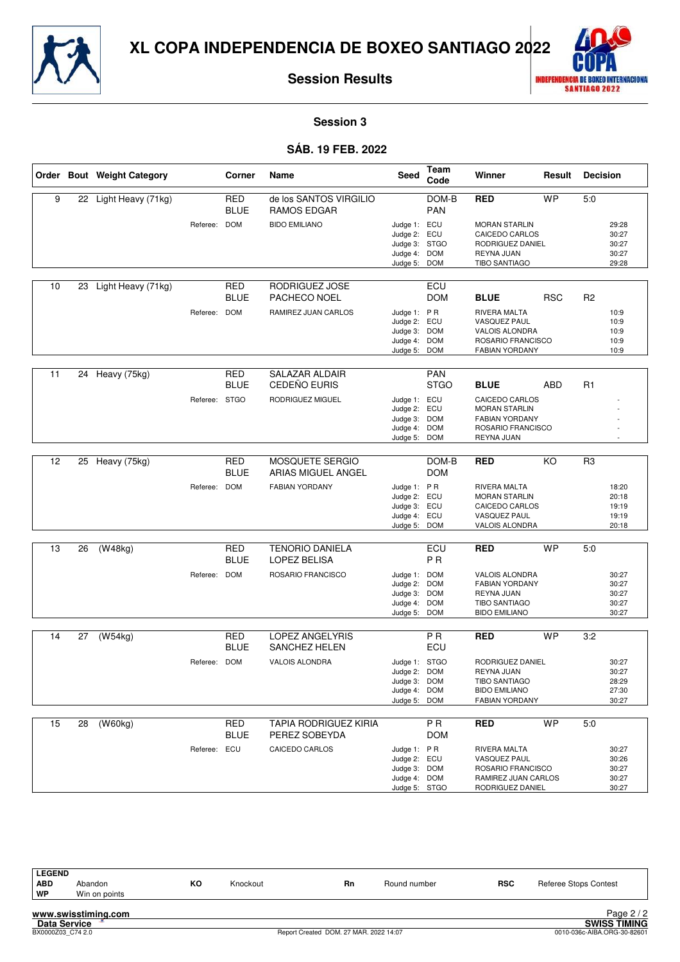



**Session 3**

#### **SÁB. 19 FEB. 2022**

|    |    | Order Bout Weight Category |               | Corner                    | Name                                          | Seed                                                                         | Team<br>Code              | Winner                                                                                                  | Result     | <b>Decision</b> |                                           |
|----|----|----------------------------|---------------|---------------------------|-----------------------------------------------|------------------------------------------------------------------------------|---------------------------|---------------------------------------------------------------------------------------------------------|------------|-----------------|-------------------------------------------|
| 9  |    | 22 Light Heavy (71kg)      |               | <b>RED</b><br><b>BLUE</b> | de los SANTOS VIRGILIO<br>RAMOS EDGAR         |                                                                              | DOM-B<br><b>PAN</b>       | <b>RED</b>                                                                                              | <b>WP</b>  | 5:0             |                                           |
|    |    |                            | Referee: DOM  |                           | <b>BIDO EMILIANO</b>                          | Judge 1: ECU<br>Judge 2:<br>Judge 3: STGO<br>Judge 4: DOM<br>Judge 5: DOM    | ECU                       | <b>MORAN STARLIN</b><br>CAICEDO CARLOS<br>RODRIGUEZ DANIEL<br>REYNA JUAN<br><b>TIBO SANTIAGO</b>        |            |                 | 29:28<br>30:27<br>30:27<br>30:27<br>29:28 |
| 10 | 23 | Light Heavy (71kg)         |               | <b>RED</b><br><b>BLUE</b> | RODRIGUEZ JOSE<br>PACHECO NOEL                |                                                                              | ECU<br><b>DOM</b>         | <b>BLUE</b>                                                                                             | <b>RSC</b> | R <sub>2</sub>  |                                           |
|    |    |                            | Referee: DOM  |                           | RAMIREZ JUAN CARLOS                           | Judge 1: PR<br>Judge 2: ECU<br>Judge 3: DOM<br>Judge 4:<br>Judge 5:          | <b>DOM</b><br><b>DOM</b>  | <b>RIVERA MALTA</b><br>VASQUEZ PAUL<br>VALOIS ALONDRA<br>ROSARIO FRANCISCO<br><b>FABIAN YORDANY</b>     |            |                 | 10:9<br>10:9<br>10:9<br>10:9<br>10:9      |
| 11 | 24 | Heavy (75kg)               |               | <b>RED</b><br>BLUE        | <b>SALAZAR ALDAIR</b><br>CEDEÑO EURIS         |                                                                              | <b>PAN</b><br><b>STGO</b> | <b>BLUE</b>                                                                                             | ABD        | R1              |                                           |
|    |    |                            | Referee: STGO |                           | RODRIGUEZ MIGUEL                              | Judge 1: ECU<br>Judge 2:<br>Judge 3: DOM<br>Judge 4: DOM<br>Judge 5: DOM     | ECU                       | CAICEDO CARLOS<br><b>MORAN STARLIN</b><br><b>FABIAN YORDANY</b><br>ROSARIO FRANCISCO<br>REYNA JUAN      |            |                 |                                           |
| 12 | 25 | Heavy (75kg)               |               | <b>RED</b><br><b>BLUE</b> | MOSQUETE SERGIO<br>ARIAS MIGUEL ANGEL         |                                                                              | DOM-B<br><b>DOM</b>       | RED                                                                                                     | KO         | R3              |                                           |
|    |    |                            | Referee: DOM  |                           | <b>FABIAN YORDANY</b>                         | Judge 1: PR<br>Judge 2: ECU<br>Judge 3: ECU<br>Judge 4: ECU<br>Judge 5: DOM  |                           | RIVERA MALTA<br><b>MORAN STARLIN</b><br>CAICEDO CARLOS<br>VASQUEZ PAUL<br>VALOIS ALONDRA                |            |                 | 18:20<br>20:18<br>19:19<br>19:19<br>20:18 |
| 13 | 26 | (W48kg)                    |               | <b>RED</b><br>BLUE        | <b>TENORIO DANIELA</b><br><b>LOPEZ BELISA</b> |                                                                              | ECU<br><b>PR</b>          | RED                                                                                                     | <b>WP</b>  | 5:0             |                                           |
|    |    |                            | Referee: DOM  |                           | ROSARIO FRANCISCO                             | Judge 1: DOM<br>Judge 2:<br>Judge 3: DOM<br>Judge 4: DOM<br>Judge 5: DOM     | <b>DOM</b>                | VALOIS ALONDRA<br><b>FABIAN YORDANY</b><br>REYNA JUAN<br><b>TIBO SANTIAGO</b><br><b>BIDO EMILIANO</b>   |            |                 | 30:27<br>30:27<br>30:27<br>30:27<br>30:27 |
| 14 | 27 | (W54kg)                    |               | <b>RED</b>                | <b>LOPEZ ANGELYRIS</b>                        |                                                                              | <b>PR</b>                 | <b>RED</b>                                                                                              | <b>WP</b>  | 3:2             |                                           |
|    |    |                            | Referee: DOM  | <b>BLUE</b>               | <b>SANCHEZ HELEN</b><br><b>VALOIS ALONDRA</b> | Judge 1: STGO<br>Judge 2: DOM<br>Judge 3: DOM<br>Judge 4: DOM<br>Judge 5:    | ECU<br><b>DOM</b>         | RODRIGUEZ DANIEL<br>REYNA JUAN<br><b>TIBO SANTIAGO</b><br><b>BIDO EMILIANO</b><br><b>FABIAN YORDANY</b> |            |                 | 30:27<br>30:27<br>28:29<br>27:30<br>30:27 |
| 15 | 28 | (W60kg)                    |               | <b>RED</b><br><b>BLUE</b> | <b>TAPIA RODRIGUEZ KIRIA</b><br>PEREZ SOBEYDA |                                                                              | <b>PR</b><br><b>DOM</b>   | <b>RED</b>                                                                                              | <b>WP</b>  | 5:0             |                                           |
|    |    |                            | Referee: ECU  |                           | CAICEDO CARLOS                                | Judge 1: PR<br>Judge 2: ECU<br>Judge 3: DOM<br>Judge 4: DOM<br>Judge 5: STGO |                           | RIVERA MALTA<br>VASQUEZ PAUL<br>ROSARIO FRANCISCO<br>RAMIREZ JUAN CARLOS<br>RODRIGUEZ DANIEL            |            |                 | 30:27<br>30:26<br>30:27<br>30:27<br>30:27 |

| <b>LEGEND</b> |               |    |          |           |              |            |                              |
|---------------|---------------|----|----------|-----------|--------------|------------|------------------------------|
| <b>ABD</b>    | Abandon       | ĸо | Knockout | <b>Rn</b> | Round number | <b>RSC</b> | <b>Referee Stops Contest</b> |
| <b>WP</b>     | Win on points |    |          |           |              |            |                              |
|               |               |    |          |           |              |            |                              |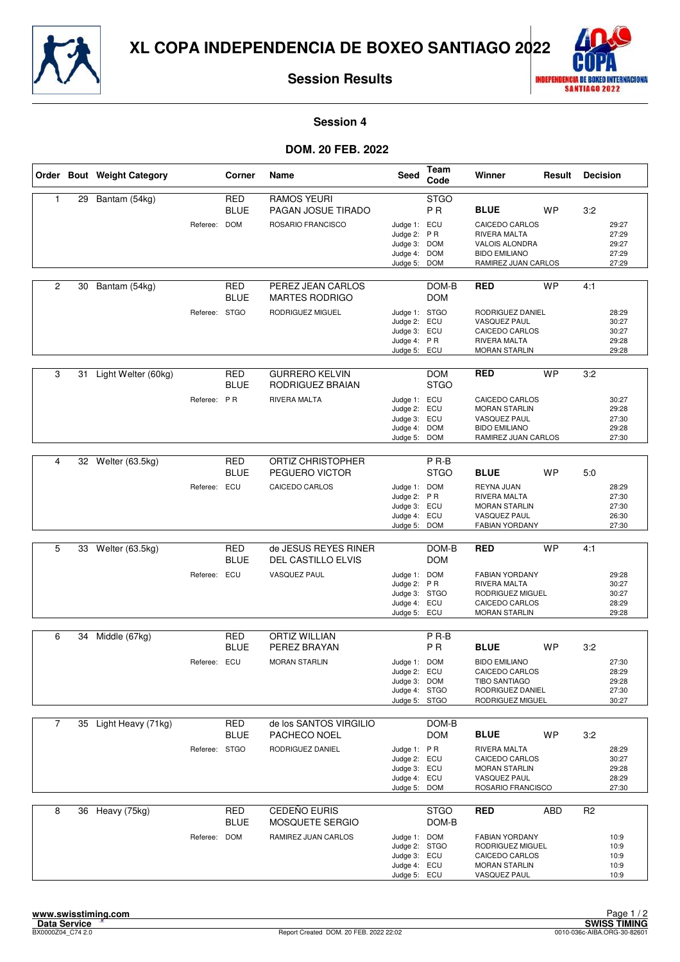



**Session 4**

#### **DOM. 20 FEB. 2022**

|                |    | Order Bout Weight Category |               | Corner                    | Name                                       | <b>Seed</b>                                                                    | Team<br>Code                    | Winner                                                                                                 | Result     | <b>Decision</b> |                                           |
|----------------|----|----------------------------|---------------|---------------------------|--------------------------------------------|--------------------------------------------------------------------------------|---------------------------------|--------------------------------------------------------------------------------------------------------|------------|-----------------|-------------------------------------------|
| 1              | 29 | Bantam (54kg)              |               | <b>RED</b><br><b>BLUE</b> | <b>RAMOS YEURI</b><br>PAGAN JOSUE TIRADO   |                                                                                | <b>STGO</b><br>P <sub>R</sub>   | <b>BLUE</b>                                                                                            | <b>WP</b>  | 3:2             |                                           |
|                |    |                            | Referee:      | <b>DOM</b>                | ROSARIO FRANCISCO                          | Judge 1: ECU<br>Judge 2: PR<br>Judge 3: DOM<br>Judge 4: DOM<br>Judge 5: DOM    |                                 | CAICEDO CARLOS<br>RIVERA MALTA<br>VALOIS ALONDRA<br><b>BIDO EMILIANO</b><br>RAMIREZ JUAN CARLOS        |            |                 | 29:27<br>27:29<br>29:27<br>27:29<br>27:29 |
| 2              | 30 | Bantam (54kg)              |               | <b>RED</b><br><b>BLUE</b> | PEREZ JEAN CARLOS<br><b>MARTES RODRIGO</b> |                                                                                | DOM-B<br><b>DOM</b>             | <b>RED</b>                                                                                             | <b>WP</b>  | 4:1             |                                           |
|                |    |                            | Referee: STGO |                           | RODRIGUEZ MIGUEL                           | Judge 1: STGO<br>Judge 2: ECU<br>Judge 3: ECU<br>Judge 4: PR<br>Judge 5: ECU   |                                 | RODRIGUEZ DANIEL<br><b>VASQUEZ PAUL</b><br>CAICEDO CARLOS<br>RIVERA MALTA<br><b>MORAN STARLIN</b>      |            |                 | 28:29<br>30:27<br>30:27<br>29:28<br>29:28 |
| 3              | 31 | Light Welter (60kg)        |               | <b>RED</b><br><b>BLUE</b> | <b>GURRERO KELVIN</b><br>RODRIGUEZ BRAIAN  |                                                                                | <b>DOM</b><br><b>STGO</b>       | <b>RED</b>                                                                                             | <b>WP</b>  | 3:2             |                                           |
|                |    |                            | Referee: PR   |                           | RIVERA MALTA                               | Judge 1: ECU<br>Judge 2: ECU<br>Judge 3: ECU<br>Judge 4: DOM<br>Judge 5: DOM   |                                 | CAICEDO CARLOS<br><b>MORAN STARLIN</b><br>VASQUEZ PAUL<br><b>BIDO EMILIANO</b><br>RAMIREZ JUAN CARLOS  |            |                 | 30:27<br>29:28<br>27:30<br>29:28<br>27:30 |
|                |    |                            |               |                           |                                            |                                                                                |                                 |                                                                                                        |            |                 |                                           |
| 4              |    | 32 Welter (63.5kg)         |               | <b>RED</b><br><b>BLUE</b> | ORTIZ CHRISTOPHER<br>PEGUERO VICTOR        |                                                                                | P <sub>R-B</sub><br><b>STGO</b> | <b>BLUE</b>                                                                                            | <b>WP</b>  | 5:0             |                                           |
|                |    |                            | Referee: ECU  |                           | CAICEDO CARLOS                             | Judge 1: DOM<br>Judge 2: PR<br>Judge 3: ECU<br>Judge 4: ECU<br>Judge 5: DOM    |                                 | REYNA JUAN<br>RIVERA MALTA<br><b>MORAN STARLIN</b><br>VASQUEZ PAUL<br><b>FABIAN YORDANY</b>            |            |                 | 28:29<br>27:30<br>27:30<br>26:30<br>27:30 |
|                |    |                            |               |                           |                                            |                                                                                |                                 |                                                                                                        |            |                 |                                           |
| 5              |    | 33 Welter (63.5kg)         |               | <b>RED</b><br><b>BLUE</b> | de JESUS REYES RINER<br>DEL CASTILLO ELVIS |                                                                                | DOM-B<br><b>DOM</b>             | <b>RED</b>                                                                                             | <b>WP</b>  | 4:1             |                                           |
|                |    |                            | Referee: ECU  |                           | <b>VASQUEZ PAUL</b>                        | Judge 1: DOM<br>Judge 2: PR<br>Judge 3: STGO<br>Judge 4: ECU<br>Judge 5: ECU   |                                 | <b>FABIAN YORDANY</b><br>RIVERA MALTA<br>RODRIGUEZ MIGUEL<br>CAICEDO CARLOS<br><b>MORAN STARLIN</b>    |            |                 | 29:28<br>30:27<br>30:27<br>28:29<br>29:28 |
| 6              |    | 34 Middle (67kg)           |               | <b>RED</b>                | <b>ORTIZ WILLIAN</b>                       |                                                                                | P <sub>R-B</sub>                |                                                                                                        |            |                 |                                           |
|                |    |                            |               | <b>BLUE</b>               | PEREZ BRAYAN                               |                                                                                | P <sub>R</sub>                  | <b>BLUE</b>                                                                                            | <b>WP</b>  | 3:2             |                                           |
|                |    |                            | Referee: ECU  |                           | <b>MORAN STARLIN</b>                       | Judge 1: DOM<br>Judge 2: ECU<br>Judge 3: DOM<br>Judge 4: STGO<br>Judge 5: STGO |                                 | <b>BIDO EMILIANO</b><br>CAICEDO CARLOS<br><b>TIBO SANTIAGO</b><br>RODRIGUEZ DANIEL<br>RODRIGUEZ MIGUEL |            |                 | 27:30<br>28:29<br>29:28<br>27:30<br>30:27 |
| $\overline{7}$ |    | 35 Light Heavy (71kg)      |               | <b>RED</b><br><b>BLUE</b> | de los SANTOS VIRGILIO<br>PACHECO NOEL     |                                                                                | DOM-B<br><b>DOM</b>             | <b>BLUE</b>                                                                                            | WP         | 3:2             |                                           |
|                |    |                            | Referee: STGO |                           | RODRIGUEZ DANIEL                           | Judge 1: PR<br>Judge 2: ECU<br>Judge 3: ECU<br>Judge 4: ECU<br>Judge 5: DOM    |                                 | RIVERA MALTA<br>CAICEDO CARLOS<br><b>MORAN STARLIN</b><br><b>VASQUEZ PAUL</b><br>ROSARIO FRANCISCO     |            |                 | 28:29<br>30:27<br>29:28<br>28:29<br>27:30 |
| 8              |    | 36 Heavy (75kg)            |               | <b>RED</b><br><b>BLUE</b> | CEDEÑO EURIS<br>MOSQUETE SERGIO            |                                                                                | STGO<br>DOM-B                   | <b>RED</b>                                                                                             | <b>ABD</b> | R <sub>2</sub>  |                                           |
|                |    |                            | Referee: DOM  |                           | RAMIREZ JUAN CARLOS                        | Judge 1: DOM<br>Judge 2: STGO<br>Judge 3: ECU<br>Judge 4: ECU<br>Judge 5: ECU  |                                 | <b>FABIAN YORDANY</b><br>RODRIGUEZ MIGUEL<br>CAICEDO CARLOS<br><b>MORAN STARLIN</b><br>VASQUEZ PAUL    |            |                 | 10:9<br>10:9<br>10:9<br>10:9<br>10:9      |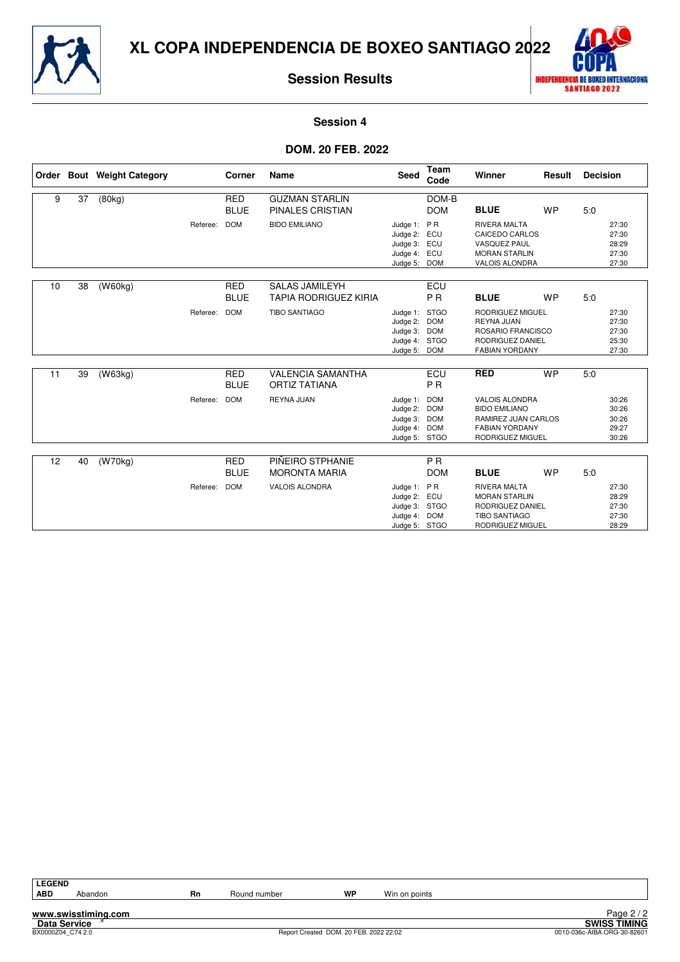



**Session 4**

#### **DOM. 20 FEB. 2022**

|    |    | Order Bout Weight Category |          | Corner                    | <b>Name</b>                                           | <b>Seed</b>                                                               | <b>Team</b><br>Code                                   | Winner                                                                                                             | Result    | <b>Decision</b> |                                           |
|----|----|----------------------------|----------|---------------------------|-------------------------------------------------------|---------------------------------------------------------------------------|-------------------------------------------------------|--------------------------------------------------------------------------------------------------------------------|-----------|-----------------|-------------------------------------------|
| 9  | 37 | (80kg)                     |          | <b>RED</b><br><b>BLUE</b> | <b>GUZMAN STARLIN</b><br><b>PINALES CRISTIAN</b>      |                                                                           | DOM-B<br><b>DOM</b>                                   | <b>BLUE</b>                                                                                                        | <b>WP</b> | 5:0             |                                           |
|    |    |                            | Referee: | <b>DOM</b>                | <b>BIDO EMILIANO</b>                                  | Judge 1:<br>Judge 2: ECU<br>Judge 3: ECU<br>Judge 4: ECU<br>Judge 5: DOM  | PR                                                    | <b>RIVERA MALTA</b><br>CAICEDO CARLOS<br><b>VASQUEZ PAUL</b><br><b>MORAN STARLIN</b><br>VALOIS ALONDRA             |           |                 | 27:30<br>27:30<br>28:29<br>27:30<br>27:30 |
| 10 | 38 | (W60kg)                    |          | <b>RED</b><br><b>BLUE</b> | <b>SALAS JAMILEYH</b><br><b>TAPIA RODRIGUEZ KIRIA</b> |                                                                           | ECU<br><b>PR</b>                                      | <b>BLUE</b>                                                                                                        | <b>WP</b> | 5:0             |                                           |
|    |    |                            | Referee: | <b>DOM</b>                | <b>TIBO SANTIAGO</b>                                  | Judge 1: STGO<br>Judge 2:<br>Judge 3:<br>Judge 4:<br>Judge 5:             | <b>DOM</b><br><b>DOM</b><br><b>STGO</b><br><b>DOM</b> | RODRIGUEZ MIGUEL<br>REYNA JUAN<br>ROSARIO FRANCISCO<br>RODRIGUEZ DANIEL<br><b>FABIAN YORDANY</b>                   |           |                 | 27:30<br>27:30<br>27:30<br>25:30<br>27:30 |
| 11 | 39 | (W63kg)                    |          | <b>RED</b><br><b>BLUE</b> | <b>VALENCIA SAMANTHA</b><br><b>ORTIZ TATIANA</b>      |                                                                           | ECU<br><b>PR</b>                                      | <b>RED</b>                                                                                                         | <b>WP</b> | 5:0             |                                           |
|    |    |                            | Referee: | <b>DOM</b>                | <b>REYNA JUAN</b>                                     | Judge 1:<br>Judge 2:<br>Judge 3:<br>Judge 4:<br>Judge 5: STGO             | <b>DOM</b><br><b>DOM</b><br><b>DOM</b><br><b>DOM</b>  | <b>VALOIS ALONDRA</b><br><b>BIDO EMILIANO</b><br>RAMIREZ JUAN CARLOS<br><b>FABIAN YORDANY</b><br>RODRIGUEZ MIGUEL  |           |                 | 30:26<br>30:26<br>30:26<br>29:27<br>30:26 |
| 12 | 40 | $\sqrt{(W70kg)}$           |          | <b>RED</b>                | PIÑEIRO STPHANIE                                      |                                                                           | <b>PR</b>                                             |                                                                                                                    |           |                 |                                           |
|    |    |                            |          | <b>BLUE</b>               | <b>MORONTA MARIA</b>                                  |                                                                           | <b>DOM</b>                                            | <b>BLUE</b>                                                                                                        | <b>WP</b> | 5:0             |                                           |
|    |    |                            | Referee: | <b>DOM</b>                | <b>VALOIS ALONDRA</b>                                 | Judge 1: PR<br>Judge 2: ECU<br>Judge 3: STGO<br>Judge 4:<br>Judge 5: STGO | <b>DOM</b>                                            | <b>RIVERA MALTA</b><br><b>MORAN STARLIN</b><br>RODRIGUEZ DANIEL<br><b>TIBO SANTIAGO</b><br><b>RODRIGUEZ MIGUEL</b> |           |                 | 27:30<br>28:29<br>27:30<br>27:30<br>28:29 |

**LEGEND**

Abandon **Rn** Round number **WP** Win on points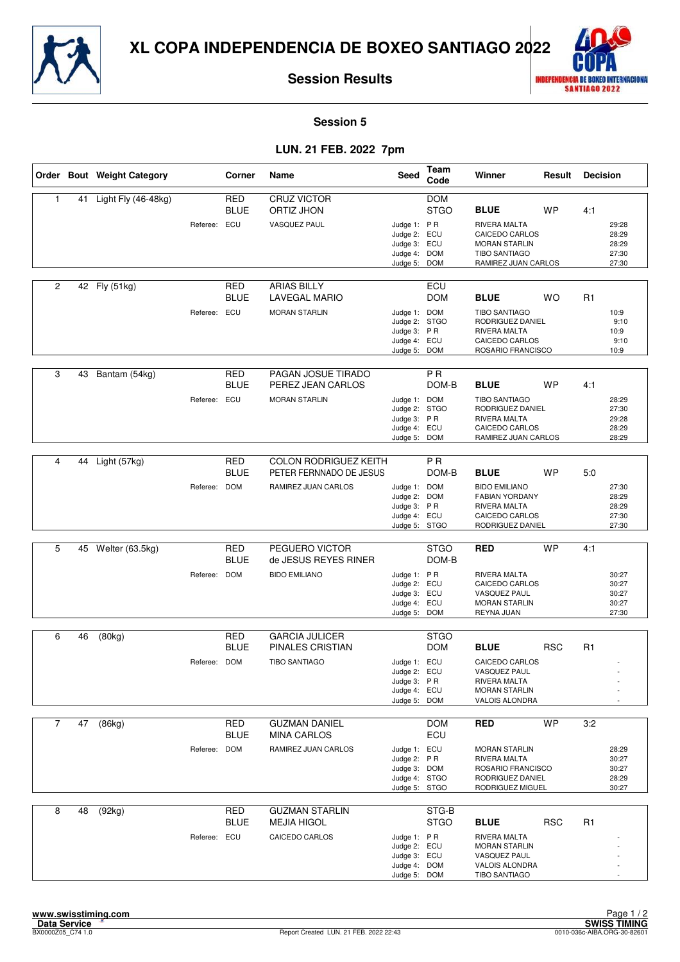



**Session 5**

## **LUN. 21 FEB. 2022 7pm**

|                |    | Order Bout Weight Category |              | Corner                    | Name                                                    | <b>Seed</b>                                                                   | Team<br>Code              | Winner                                                                                                        | Result     | <b>Decision</b> |                                           |
|----------------|----|----------------------------|--------------|---------------------------|---------------------------------------------------------|-------------------------------------------------------------------------------|---------------------------|---------------------------------------------------------------------------------------------------------------|------------|-----------------|-------------------------------------------|
| 1              | 41 | Light Fly (46-48kg)        |              | <b>RED</b><br><b>BLUE</b> | <b>CRUZ VICTOR</b><br>ORTIZ JHON                        |                                                                               | <b>DOM</b><br><b>STGO</b> | <b>BLUE</b>                                                                                                   | <b>WP</b>  | 4:1             |                                           |
|                |    |                            | Referee:     | ECU                       | <b>VASQUEZ PAUL</b>                                     | Judge 1: PR<br>Judge 2: ECU<br>Judge 3: ECU<br>Judge 4: DOM<br>Judge 5: DOM   |                           | <b>RIVERA MALTA</b><br>CAICEDO CARLOS<br><b>MORAN STARLIN</b><br><b>TIBO SANTIAGO</b><br>RAMIREZ JUAN CARLOS  |            |                 | 29:28<br>28:29<br>28:29<br>27:30<br>27:30 |
| $\overline{2}$ |    | 42 Fly (51kg)              |              | <b>RED</b><br><b>BLUE</b> | <b>ARIAS BILLY</b><br><b>LAVEGAL MARIO</b>              |                                                                               | ECU<br><b>DOM</b>         | <b>BLUE</b>                                                                                                   | <b>WO</b>  | R1              |                                           |
|                |    |                            | Referee: ECU |                           | <b>MORAN STARLIN</b>                                    | Judge 1: DOM<br>Judge 2: STGO<br>Judge 3: PR<br>Judge 4: ECU<br>Judge 5: DOM  |                           | <b>TIBO SANTIAGO</b><br>RODRIGUEZ DANIEL<br><b>RIVERA MALTA</b><br>CAICEDO CARLOS<br>ROSARIO FRANCISCO        |            |                 | 10:9<br>9:10<br>10:9<br>9:10<br>10:9      |
| 3              | 43 | Bantam (54kg)              |              | <b>RED</b><br><b>BLUE</b> | PAGAN JOSUE TIRADO<br>PEREZ JEAN CARLOS                 |                                                                               | <b>PR</b><br>DOM-B        | <b>BLUE</b>                                                                                                   | <b>WP</b>  | 4:1             |                                           |
|                |    |                            | Referee:     | ECU                       | <b>MORAN STARLIN</b>                                    | Judge 1: DOM<br>Judge 2: STGO<br>Judge 3: PR<br>Judge 4: ECU<br>Judge 5: DOM  |                           | <b>TIBO SANTIAGO</b><br>RODRIGUEZ DANIEL<br>RIVERA MALTA<br>CAICEDO CARLOS<br>RAMIREZ JUAN CARLOS             |            |                 | 28:29<br>27:30<br>29:28<br>28:29<br>28:29 |
|                |    |                            |              |                           |                                                         |                                                                               |                           |                                                                                                               |            |                 |                                           |
| 4              | 44 | Light (57kg)               |              | <b>RED</b><br><b>BLUE</b> | <b>COLON RODRIGUEZ KEITH</b><br>PETER FERNNADO DE JESUS |                                                                               | P <sub>R</sub><br>DOM-B   | <b>BLUE</b>                                                                                                   | <b>WP</b>  | 5:0             |                                           |
|                |    |                            | Referee: DOM |                           | RAMIREZ JUAN CARLOS                                     | Judge 1: DOM<br>Judge 2: DOM<br>Judge 3: PR<br>Judge 4: ECU<br>Judge 5: STGO  |                           | <b>BIDO EMILIANO</b><br><b>FABIAN YORDANY</b><br>RIVERA MALTA<br>CAICEDO CARLOS<br>RODRIGUEZ DANIEL           |            |                 | 27:30<br>28:29<br>28:29<br>27:30<br>27:30 |
|                |    |                            |              |                           |                                                         |                                                                               |                           |                                                                                                               |            |                 |                                           |
| 5              | 45 | Welter (63.5kg)            |              | <b>RED</b><br><b>BLUE</b> | PEGUERO VICTOR<br>de JESUS REYES RINER                  |                                                                               | <b>STGO</b><br>DOM-B      | <b>RED</b>                                                                                                    | <b>WP</b>  | 4:1             |                                           |
|                |    |                            | Referee: DOM |                           | <b>BIDO EMILIANO</b>                                    | Judge 1: PR<br>Judge 2: ECU<br>Judge 3: ECU<br>Judge 4: ECU<br>Judge 5: DOM   |                           | RIVERA MALTA<br>CAICEDO CARLOS<br><b>VASQUEZ PAUL</b><br><b>MORAN STARLIN</b><br>REYNA JUAN                   |            |                 | 30:27<br>30:27<br>30:27<br>30:27<br>27:30 |
| 6              | 46 | (80kg)                     |              | <b>RED</b>                | <b>GARCIA JULICER</b>                                   |                                                                               | <b>STGO</b>               |                                                                                                               |            |                 |                                           |
|                |    |                            |              | <b>BLUE</b>               | PINALES CRISTIAN                                        |                                                                               | <b>DOM</b>                | <b>BLUE</b>                                                                                                   | <b>RSC</b> | R <sub>1</sub>  |                                           |
|                |    |                            | Referee: DOM |                           | <b>TIBO SANTIAGO</b>                                    | Judge 1: ECU<br>Judge 2: ECU<br>Judge 3: PR<br>Judge 4: ECU<br>Judge 5: DOM   |                           | CAICEDO CARLOS<br><b>VASQUEZ PAUL</b><br><b>RIVERA MALTA</b><br><b>MORAN STARLIN</b><br><b>VALOIS ALONDRA</b> |            |                 | ٠                                         |
| $\overline{7}$ | 47 | (86kg)                     |              | <b>RED</b><br><b>BLUE</b> | <b>GUZMAN DANIEL</b><br><b>MINA CARLOS</b>              |                                                                               | <b>DOM</b><br>ECU         | <b>RED</b>                                                                                                    | <b>WP</b>  | 3:2             |                                           |
|                |    |                            | Referee: DOM |                           | RAMIREZ JUAN CARLOS                                     | Judge 1: ECU<br>Judge 2: PR<br>Judge 3: DOM<br>Judge 4: STGO<br>Judge 5: STGO |                           | <b>MORAN STARLIN</b><br>RIVERA MALTA<br>ROSARIO FRANCISCO<br>RODRIGUEZ DANIEL<br>RODRIGUEZ MIGUEL             |            |                 | 28:29<br>30:27<br>30:27<br>28:29<br>30:27 |
| 8              | 48 | (92kg)                     |              | RED<br><b>BLUE</b>        | <b>GUZMAN STARLIN</b><br><b>MEJIA HIGOL</b>             |                                                                               | STG-B<br><b>STGO</b>      | <b>BLUE</b>                                                                                                   | <b>RSC</b> | R <sub>1</sub>  |                                           |
|                |    |                            | Referee: ECU |                           | CAICEDO CARLOS                                          | Judge 1: PR<br>Judge 2: ECU<br>Judge 3: ECU<br>Judge 4: DOM<br>Judge 5: DOM   |                           | RIVERA MALTA<br><b>MORAN STARLIN</b><br>VASQUEZ PAUL<br>VALOIS ALONDRA<br><b>TIBO SANTIAGO</b>                |            |                 |                                           |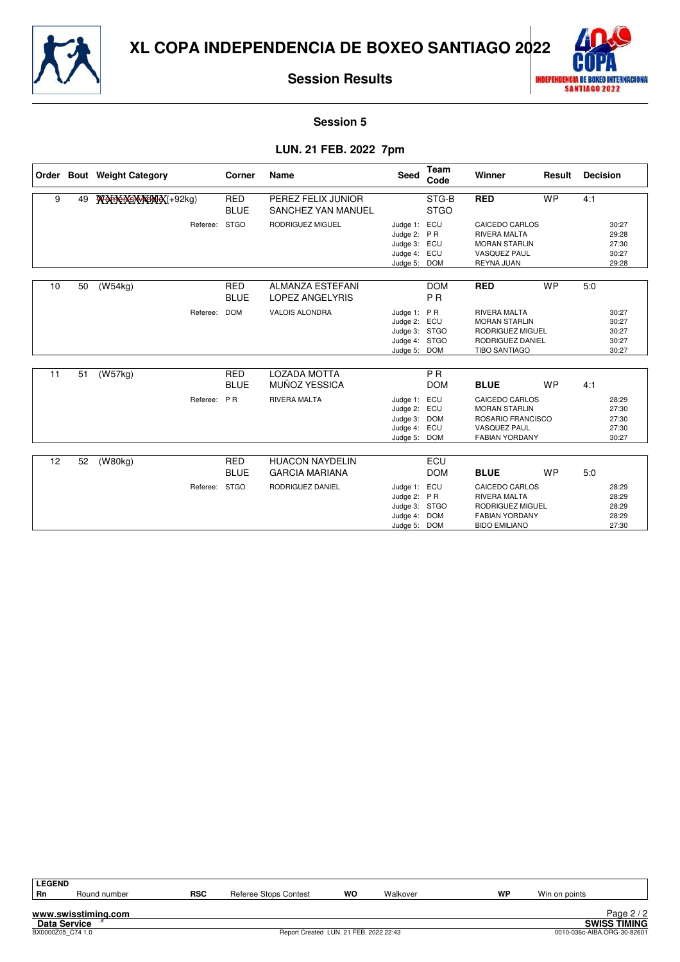



**Session 5**

## **LUN. 21 FEB. 2022 7pm**

|    |    | Order Bout Weight Category | Corner                    | Name                                              | <b>Seed</b>                                                                   | Team<br>Code                           | Winner                                                                                                      | Result    | <b>Decision</b> |                                           |
|----|----|----------------------------|---------------------------|---------------------------------------------------|-------------------------------------------------------------------------------|----------------------------------------|-------------------------------------------------------------------------------------------------------------|-----------|-----------------|-------------------------------------------|
| 9  | 49 | WOORKSMACHEX(+92kg)        | <b>RED</b><br><b>BLUE</b> | PEREZ FELIX JUNIOR<br>SANCHEZ YAN MANUEL          |                                                                               | STG-B<br><b>STGO</b>                   | <b>RED</b>                                                                                                  | <b>WP</b> | 4:1             |                                           |
|    |    | Referee:                   | <b>STGO</b>               | RODRIGUEZ MIGUEL                                  | Judge 1:<br>Judge 2: PR<br>Judge 3: ECU<br>Judge 4:<br>Judge 5:               | ECU<br>ECU<br><b>DOM</b>               | CAICEDO CARLOS<br><b>RIVERA MALTA</b><br><b>MORAN STARLIN</b><br><b>VASQUEZ PAUL</b><br>REYNA JUAN          |           |                 | 30:27<br>29:28<br>27:30<br>30:27<br>29:28 |
| 10 | 50 | (W54kg)                    | <b>RED</b><br><b>BLUE</b> | <b>ALMANZA ESTEFANI</b><br><b>LOPEZ ANGELYRIS</b> |                                                                               | <b>DOM</b><br><b>PR</b>                | <b>RED</b>                                                                                                  | <b>WP</b> | 5:0             |                                           |
|    |    | Referee:                   | <b>DOM</b>                | <b>VALOIS ALONDRA</b>                             | Judge 1: PR<br>Judge 2: ECU<br>Judge 3: STGO<br>Judge 4: STGO<br>Judge 5: DOM |                                        | <b>RIVERA MALTA</b><br><b>MORAN STARLIN</b><br>RODRIGUEZ MIGUEL<br>RODRIGUEZ DANIEL<br><b>TIBO SANTIAGO</b> |           |                 | 30:27<br>30:27<br>30:27<br>30:27<br>30:27 |
| 11 | 51 | (W57kg)                    | <b>RED</b>                | <b>LOZADA MOTTA</b>                               |                                                                               | <b>PR</b>                              |                                                                                                             |           |                 |                                           |
|    |    |                            | <b>BLUE</b>               | MUÑOZ YESSICA                                     |                                                                               | <b>DOM</b>                             | <b>BLUE</b>                                                                                                 | <b>WP</b> | 4:1             |                                           |
|    |    | Referee:                   | PR                        | <b>RIVERA MALTA</b>                               | Judge 1:<br>Judge 2: ECU<br>Judge 3:<br>Judge 4:<br>Judge 5:                  | ECU<br><b>DOM</b><br>ECU<br><b>DOM</b> | CAICEDO CARLOS<br><b>MORAN STARLIN</b><br>ROSARIO FRANCISCO<br><b>VASQUEZ PAUL</b><br><b>FABIAN YORDANY</b> |           |                 | 28:29<br>27:30<br>27:30<br>27:30<br>30:27 |
|    |    |                            |                           |                                                   |                                                                               |                                        |                                                                                                             |           |                 |                                           |
| 12 | 52 | (W80kg)                    | <b>RED</b><br><b>BLUE</b> | <b>HUACON NAYDELIN</b><br><b>GARCIA MARIANA</b>   |                                                                               | ECU<br><b>DOM</b>                      | <b>BLUE</b>                                                                                                 | <b>WP</b> | 5:0             |                                           |
|    |    | Referee: STGO              |                           | RODRIGUEZ DANIEL                                  | Judge 1:<br>Judge 2: PR<br>Judge 3: STGO<br>Judge 4:<br>Judge 5: DOM          | ECU<br><b>DOM</b>                      | CAICEDO CARLOS<br><b>RIVERA MALTA</b><br>RODRIGUEZ MIGUEL<br><b>FABIAN YORDANY</b><br><b>BIDO EMILIANO</b>  |           |                 | 28:29<br>28:29<br>28:29<br>28:29<br>27:30 |

| <b>LEGEND</b>       |                     |            |                                        |    |          |    |                             |                     |
|---------------------|---------------------|------------|----------------------------------------|----|----------|----|-----------------------------|---------------------|
| <b>Rn</b>           | Round number        | <b>RSC</b> | Referee Stops Contest                  | wo | Walkover | WP | Win on points               |                     |
|                     |                     |            |                                        |    |          |    |                             |                     |
|                     | www.swisstiming.com |            |                                        |    |          |    |                             | Page $2/2$          |
| <b>Data Service</b> |                     |            |                                        |    |          |    |                             | <b>SWISS TIMING</b> |
| BX0000Z05 C74 1.0   |                     |            | Report Created LUN. 21 FEB. 2022 22:43 |    |          |    | 0010-036c-AIBA.ORG-30-82601 |                     |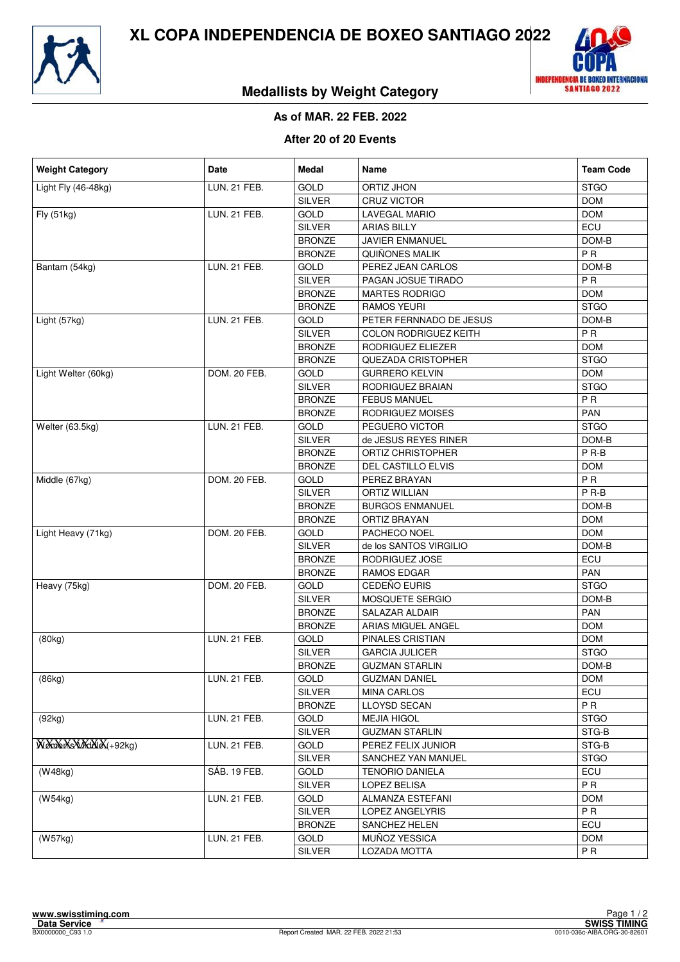



## **Medallists by Weight Category**

## **As of MAR. 22 FEB. 2022**

#### **After 20 of 20 Events**

| <b>Weight Category</b>  | Date                | Medal         | Name                         | <b>Team Code</b> |
|-------------------------|---------------------|---------------|------------------------------|------------------|
| Light Fly (46-48kg)     | <b>LUN. 21 FEB.</b> | GOLD          | ORTIZ JHON                   | <b>STGO</b>      |
|                         |                     | <b>SILVER</b> | CRUZ VICTOR                  | <b>DOM</b>       |
| Fly (51kg)              | <b>LUN. 21 FEB.</b> | <b>GOLD</b>   | <b>LAVEGAL MARIO</b>         | <b>DOM</b>       |
|                         |                     | <b>SILVER</b> | <b>ARIAS BILLY</b>           | ECU              |
|                         |                     | <b>BRONZE</b> | JAVIER ENMANUEL              | DOM-B            |
|                         |                     | <b>BRONZE</b> | QUIÑONES MALIK               | <b>PR</b>        |
| Bantam (54kg)           | <b>LUN. 21 FEB.</b> | GOLD          | PEREZ JEAN CARLOS            | DOM-B            |
|                         |                     | <b>SILVER</b> | PAGAN JOSUE TIRADO           | <b>PR</b>        |
|                         |                     | <b>BRONZE</b> | <b>MARTES RODRIGO</b>        | <b>DOM</b>       |
|                         |                     | <b>BRONZE</b> | <b>RAMOS YEURI</b>           | <b>STGO</b>      |
| Light (57kg)            | <b>LUN. 21 FEB.</b> | <b>GOLD</b>   | PETER FERNNADO DE JESUS      | DOM-B            |
|                         |                     | SILVER        | <b>COLON RODRIGUEZ KEITH</b> | <b>PR</b>        |
|                         |                     | <b>BRONZE</b> | RODRIGUEZ ELIEZER            | <b>DOM</b>       |
|                         |                     | <b>BRONZE</b> | QUEZADA CRISTOPHER           | <b>STGO</b>      |
| Light Welter (60kg)     | DOM. 20 FEB.        | <b>GOLD</b>   | <b>GURRERO KELVIN</b>        | <b>DOM</b>       |
|                         |                     | <b>SILVER</b> | RODRIGUEZ BRAIAN             | <b>STGO</b>      |
|                         |                     | <b>BRONZE</b> | <b>FEBUS MANUEL</b>          | PR               |
|                         |                     | <b>BRONZE</b> | RODRIGUEZ MOISES             | PAN              |
| Welter (63.5kg)         | LUN. 21 FEB.        | <b>GOLD</b>   | PEGUERO VICTOR               | <b>STGO</b>      |
|                         |                     | <b>SILVER</b> | de JESUS REYES RINER         | DOM-B            |
|                         |                     | <b>BRONZE</b> | ORTIZ CHRISTOPHER            | $P$ R-B          |
|                         |                     | <b>BRONZE</b> | DEL CASTILLO ELVIS           | <b>DOM</b>       |
| Middle (67kg)           | DOM. 20 FEB.        | GOLD          | PEREZ BRAYAN                 | <b>PR</b>        |
|                         |                     | <b>SILVER</b> | <b>ORTIZ WILLIAN</b>         | P <sub>R-B</sub> |
|                         |                     | <b>BRONZE</b> | <b>BURGOS ENMANUEL</b>       | DOM-B            |
|                         |                     | <b>BRONZE</b> | <b>ORTIZ BRAYAN</b>          | <b>DOM</b>       |
| Light Heavy (71kg)      | DOM. 20 FEB.        | GOLD          | PACHECO NOEL                 | <b>DOM</b>       |
|                         |                     | SILVER        | de los SANTOS VIRGILIO       | DOM-B            |
|                         |                     | <b>BRONZE</b> | RODRIGUEZ JOSE               | ECU              |
|                         |                     | <b>BRONZE</b> | RAMOS EDGAR                  | PAN              |
| Heavy (75kg)            | DOM. 20 FEB.        | <b>GOLD</b>   | CEDEÑO EURIS                 | <b>STGO</b>      |
|                         |                     | <b>SILVER</b> | <b>MOSQUETE SERGIO</b>       | DOM-B            |
|                         |                     | <b>BRONZE</b> | SALAZAR ALDAIR               | <b>PAN</b>       |
|                         |                     | <b>BRONZE</b> | ARIAS MIGUEL ANGEL           | <b>DOM</b>       |
| (80kg)                  | <b>LUN. 21 FEB.</b> | GOLD          | PINALES CRISTIAN             | <b>DOM</b>       |
|                         |                     | <b>SILVER</b> | <b>GARCIA JULICER</b>        | <b>STGO</b>      |
|                         |                     | <b>BRONZE</b> | <b>GUZMAN STARLIN</b>        | DOM-B            |
| (86kg)                  | LUN. 21 FEB.        | GOLD          | <b>GUZMAN DANIEL</b>         | <b>DOM</b>       |
|                         |                     | <b>SILVER</b> | <b>MINA CARLOS</b>           | ECU              |
|                         |                     | <b>BRONZE</b> | LLOYSD SECAN                 | P <sub>R</sub>   |
| (92kg)                  | LUN. 21 FEB.        | GOLD          | <b>MEJIA HIGOL</b>           | <b>STGO</b>      |
|                         |                     | <b>SILVER</b> | <b>GUZMAN STARLIN</b>        | STG-B            |
| Worden's Middle (+92kg) | LUN. 21 FEB.        | GOLD          | PEREZ FELIX JUNIOR           | STG-B            |
|                         |                     | <b>SILVER</b> | SANCHEZ YAN MANUEL           | <b>STGO</b>      |
| (W48kg)                 | SÁB. 19 FEB.        | GOLD          | <b>TENORIO DANIELA</b>       | ECU              |
|                         |                     | <b>SILVER</b> | LOPEZ BELISA                 | P R              |
| (W54kg)                 | LUN. 21 FEB.        | GOLD          | ALMANZA ESTEFANI             | <b>DOM</b>       |
|                         |                     | <b>SILVER</b> | LOPEZ ANGELYRIS              | P <sub>R</sub>   |
|                         |                     | <b>BRONZE</b> | SANCHEZ HELEN                | ECU              |
| (W57kg)                 | LUN. 21 FEB.        | GOLD          | MUÑOZ YESSICA                | <b>DOM</b>       |
|                         |                     | SILVER        | LOZADA MOTTA                 | P <sub>R</sub>   |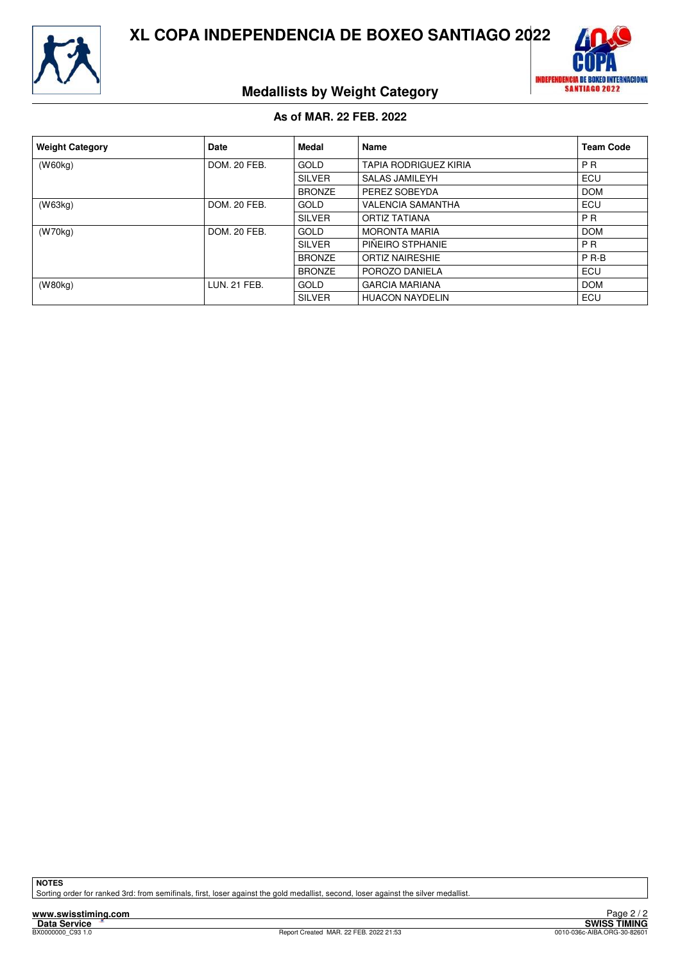



## **Medallists by Weight Category**

## **As of MAR. 22 FEB. 2022**

| <b>Weight Category</b> | <b>Date</b>         | Medal         | Name                         | <b>Team Code</b> |
|------------------------|---------------------|---------------|------------------------------|------------------|
| (W60kg)                | DOM, 20 FEB.        | <b>GOLD</b>   | <b>TAPIA RODRIGUEZ KIRIA</b> | <b>PR</b>        |
|                        |                     | <b>SILVER</b> | <b>SALAS JAMILEYH</b>        | ECU              |
|                        |                     | <b>BRONZE</b> | PEREZ SOBEYDA                | <b>DOM</b>       |
| (W63kg)                | DOM. 20 FEB.        | GOLD          | <b>VALENCIA SAMANTHA</b>     | ECU              |
|                        |                     | <b>SILVER</b> | <b>ORTIZ TATIANA</b>         | P <sub>R</sub>   |
| (W70kg)                | DOM, 20 FEB.        | GOLD          | <b>MORONTA MARIA</b>         | <b>DOM</b>       |
|                        |                     | <b>SILVER</b> | PIÑEIRO STPHANIE             | <b>PR</b>        |
|                        |                     | <b>BRONZE</b> | <b>ORTIZ NAIRESHIE</b>       | $P$ R-B          |
|                        |                     | <b>BRONZE</b> | POROZO DANIELA               | <b>ECU</b>       |
| (W80kg)                | <b>LUN. 21 FEB.</b> | GOLD          | <b>GARCIA MARIANA</b>        | <b>DOM</b>       |
|                        |                     | <b>SILVER</b> | <b>HUACON NAYDELIN</b>       | ECU              |

**NOTES**

Sorting order for ranked 3rd: from semifinals, first, loser against the gold medallist, second, loser against the silver medallist.

**www.swisstiming.com**<br>Data Service<br>**BX0000000\_C93** 1.0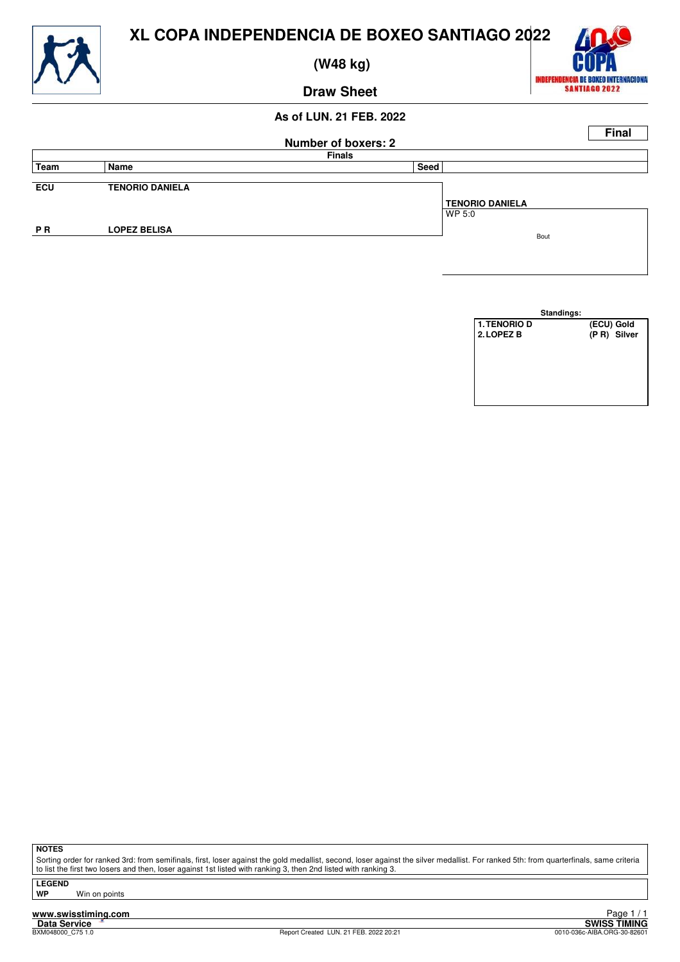

 **(W48 kg)**



## **Draw Sheet**

## **As of LUN. 21 FEB. 2022**



|                     | Standings: |            |             |
|---------------------|------------|------------|-------------|
| <b>1. TENORIO D</b> |            | (ECU) Gold |             |
| 2. LOPEZ B          |            |            | (PR) Silver |
|                     |            |            |             |
|                     |            |            |             |
|                     |            |            |             |
|                     |            |            |             |
|                     |            |            |             |
|                     |            |            |             |

**NOTES**

Sorting order for ranked 3rd: from semifinals, first, loser against the gold medallist, second, loser against the silver medallist. For ranked 5th: from quarterfinals, same criteria to list the first two losers and then, loser against 1st listed with ranking 3, then 2nd listed with ranking 3.

**LEGEND**

**Win on points** 

**www.swisstiming.com**<br>Data Service<br>**BXM048000\_C75** 1.0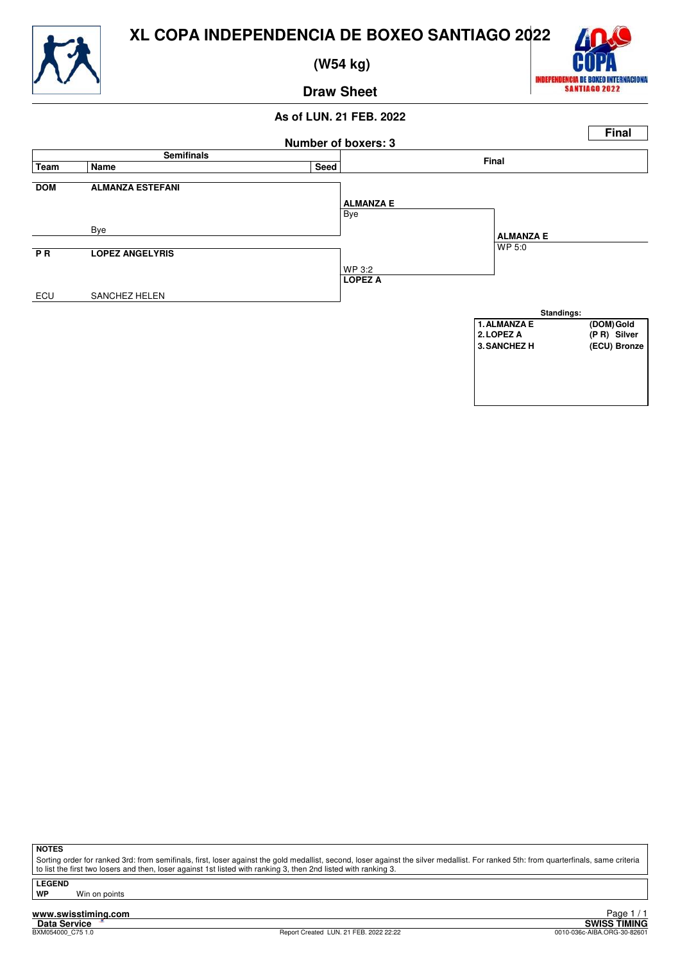

 **(W54 kg)**



## **Draw Sheet**

## **As of LUN. 21 FEB. 2022**



**NOTES**

Sorting order for ranked 3rd: from semifinals, first, loser against the gold medallist, second, loser against the silver medallist. For ranked 5th: from quarterfinals, same criteria to list the first two losers and then, loser against 1st listed with ranking 3, then 2nd listed with ranking 3.

**LEGEND**

**Win on points** 

**www.swisstiming.com**<br>Data Service<br>**BXM054000\_C75** 1.0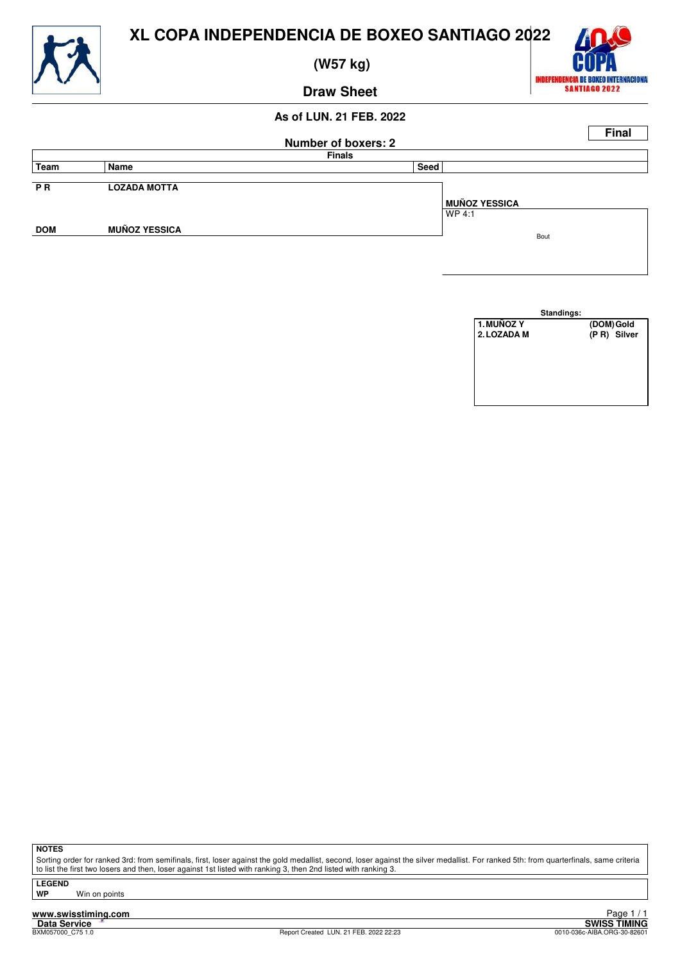

 **(W57 kg)**



**Draw Sheet**

## **As of LUN. 21 FEB. 2022**

|            |                      | <b>Number of boxers: 2</b> | <b>Final</b>         |
|------------|----------------------|----------------------------|----------------------|
|            |                      | <b>Finals</b>              |                      |
| Team       | Name                 | Seed                       |                      |
| <b>PR</b>  | <b>LOZADA MOTTA</b>  |                            |                      |
|            |                      |                            | <b>MUÑOZ YESSICA</b> |
|            |                      |                            | WP 4:1               |
| <b>DOM</b> | <b>MUÑOZ YESSICA</b> |                            | Bout                 |
|            |                      |                            |                      |



**NOTES**

Sorting order for ranked 3rd: from semifinals, first, loser against the gold medallist, second, loser against the silver medallist. For ranked 5th: from quarterfinals, same criteria to list the first two losers and then, loser against 1st listed with ranking 3, then 2nd listed with ranking 3.

**LEGEND**

**WP** Win on points

**www.swisstiming.com**<br>Data Service<br>BXM057000\_C75 1.0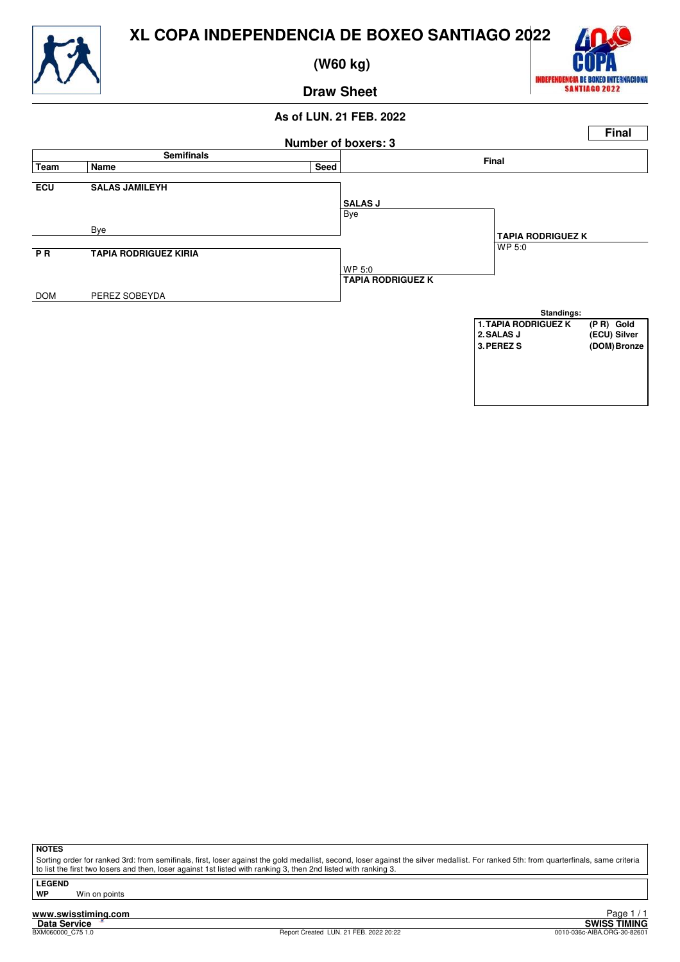

 **(W60 kg)**



## **Draw Sheet**

## **As of LUN. 21 FEB. 2022**



**NOTES**

Sorting order for ranked 3rd: from semifinals, first, loser against the gold medallist, second, loser against the silver medallist. For ranked 5th: from quarterfinals, same criteria to list the first two losers and then, loser against 1st listed with ranking 3, then 2nd listed with ranking 3.

**LEGEND**

**Win on points** 

**www.swisstiming.com**<br>Data Service<br>**BXM060000\_C75** 1.0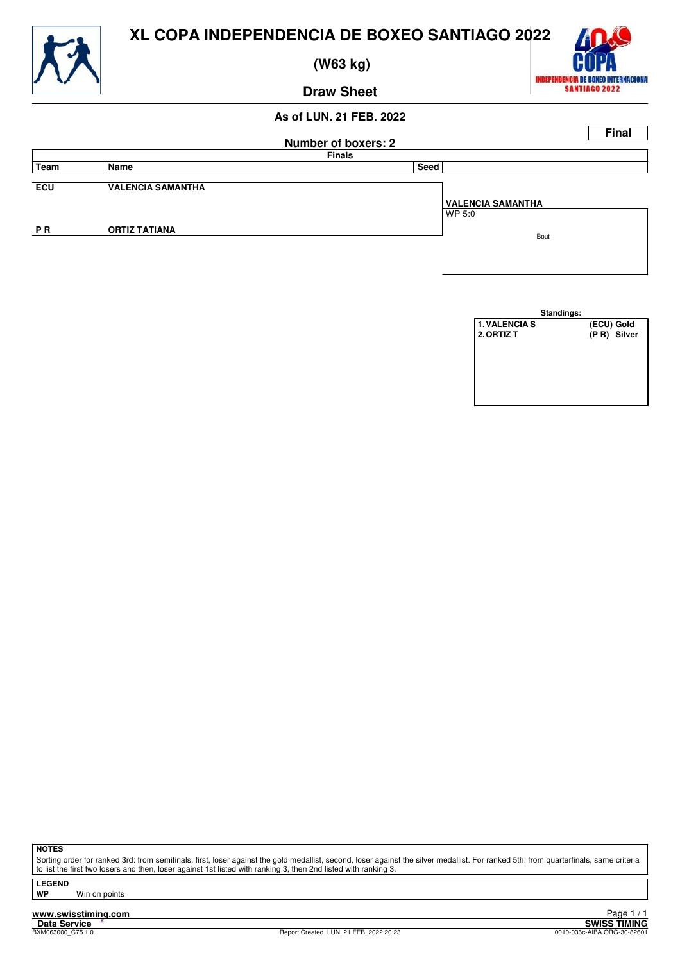

 **(W63 kg)**



**Draw Sheet**

## **As of LUN. 21 FEB. 2022**

|           |                          |                            | <b>Final</b>             |
|-----------|--------------------------|----------------------------|--------------------------|
|           |                          | <b>Number of boxers: 2</b> |                          |
|           |                          | <b>Finals</b>              |                          |
| Team      | Name                     | Seed                       |                          |
|           |                          |                            |                          |
| ECU       | <b>VALENCIA SAMANTHA</b> |                            |                          |
|           |                          |                            | <b>VALENCIA SAMANTHA</b> |
|           |                          |                            | WP 5:0                   |
| <b>PR</b> | <b>ORTIZ TATIANA</b>     |                            |                          |
|           |                          |                            | Bout                     |
|           |                          |                            |                          |

| Standings:           |             |
|----------------------|-------------|
| <b>1. VALENCIA S</b> | (ECU) Gold  |
| 2. ORTIZ T           | (PR) Silver |
|                      |             |
|                      |             |
|                      |             |
|                      |             |
|                      |             |
|                      |             |

**NOTES**

Sorting order for ranked 3rd: from semifinals, first, loser against the gold medallist, second, loser against the silver medallist. For ranked 5th: from quarterfinals, same criteria to list the first two losers and then, loser against 1st listed with ranking 3, then 2nd listed with ranking 3.

**LEGEND**

**Win on points** 

**www.swisstiming.com**<br>Data Service<br>**BXM063000\_C75** 1.0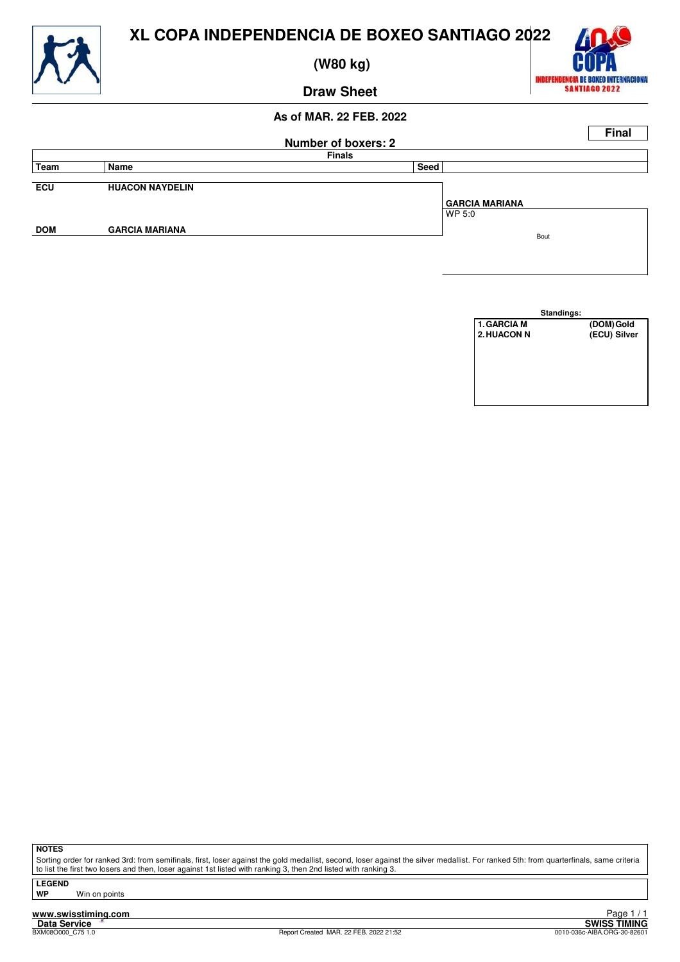



 **(W80 kg)**

## **Draw Sheet**

# **INDEPENDENCIA DE BOXEO INTERNACIONA** SANTIAGO 2022



|                    | Standings: |              |
|--------------------|------------|--------------|
| <b>1. GARCIA M</b> |            | (DOM) Gold   |
| <b>2. HUACON N</b> |            | (ECU) Silver |
|                    |            |              |
|                    |            |              |
|                    |            |              |
|                    |            |              |
|                    |            |              |
|                    |            |              |

**NOTES**

Sorting order for ranked 3rd: from semifinals, first, loser against the gold medallist, second, loser against the silver medallist. For ranked 5th: from quarterfinals, same criteria to list the first two losers and then, loser against 1st listed with ranking 3, then 2nd listed with ranking 3.

**LEGEND**

**Win on points** 

**www.swisstiming.com**<br>Data Service<br>**BXM08O000\_C75**1.0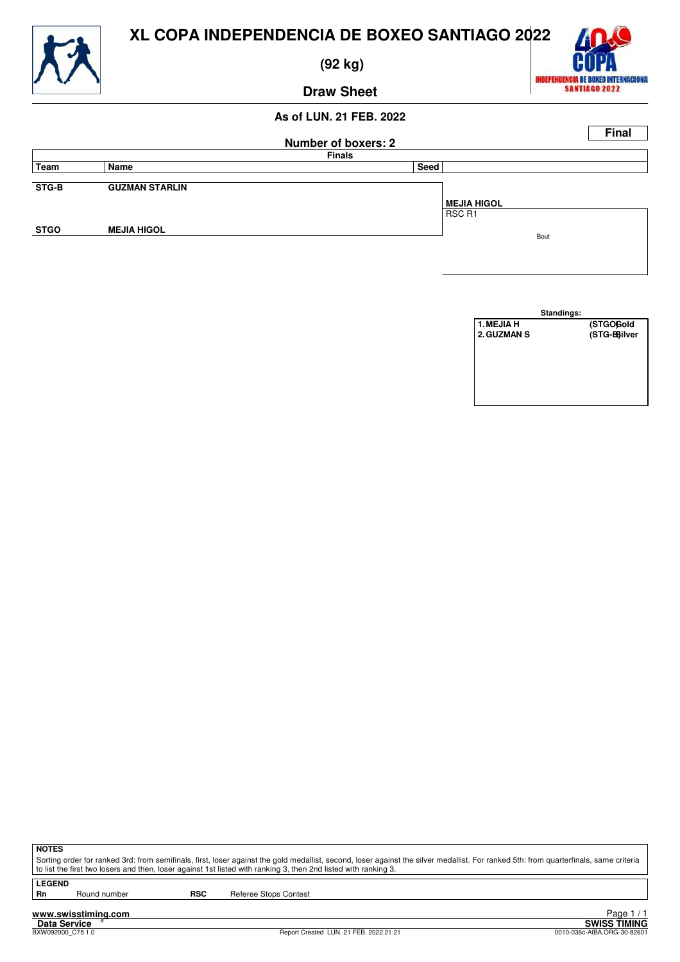

 **(92 kg)**



**Draw Sheet**

## **As of LUN. 21 FEB. 2022**

|             |                       |                     |                    | <b>Final</b> |
|-------------|-----------------------|---------------------|--------------------|--------------|
|             |                       | Number of boxers: 2 |                    |              |
|             |                       | <b>Finals</b>       |                    |              |
| Team        | Name                  | Seed                |                    |              |
|             |                       |                     |                    |              |
| STG-B       | <b>GUZMAN STARLIN</b> |                     |                    |              |
|             |                       |                     | <b>MEJIA HIGOL</b> |              |
|             |                       |                     | RSC R1             |              |
| <b>STGO</b> | <b>MEJIA HIGOL</b>    |                     |                    |              |
|             |                       |                     | Bout               |              |
|             |                       |                     |                    |              |

|             | Standings:  |
|-------------|-------------|
| 1. MEJIA H  | (STGOGold   |
| 2. GUZMAN S | (STG-Bilver |
|             |             |
|             |             |
|             |             |
|             |             |
|             |             |
|             |             |

**NOTES**

Sorting order for ranked 3rd: from semifinals, first, loser against the gold medallist, second, loser against the silver medallist. For ranked 5th: from quarterfinals, same criteria to list the first two losers and then, loser against 1st listed with ranking 3, then 2nd listed with ranking 3.

**LEGEND**

Round number **RSC** Referee Stops Contest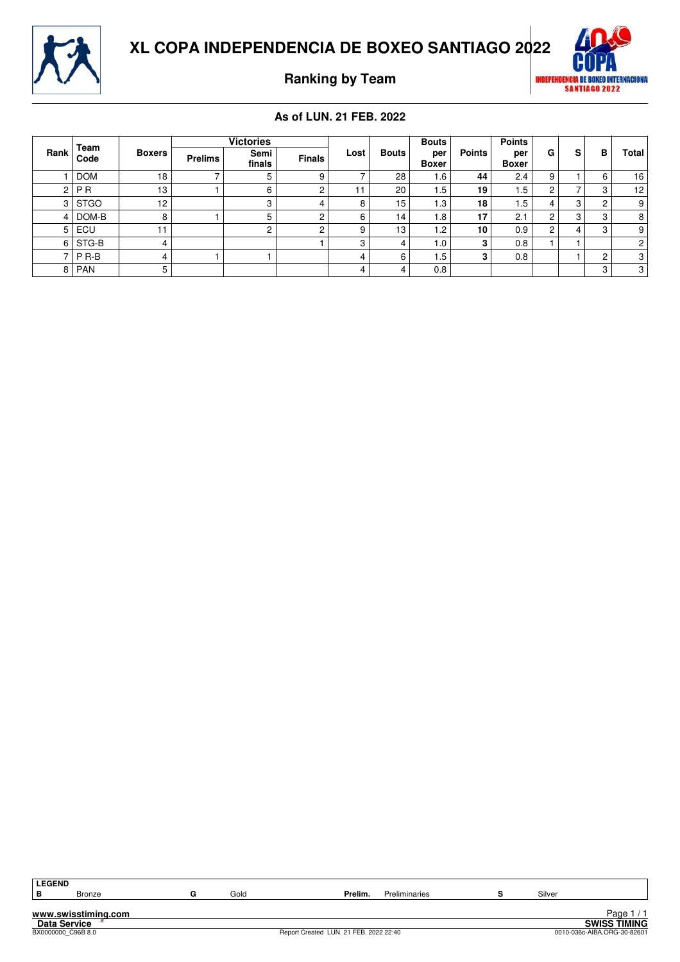



**Ranking by Team**



## **As of LUN. 21 FEB. 2022**

|                | Team             | <b>Boxers</b>   |                | <b>Victories</b> |               |      |       | <b>Bouts</b>        |               | <b>Points</b>       |   |   |   |                |
|----------------|------------------|-----------------|----------------|------------------|---------------|------|-------|---------------------|---------------|---------------------|---|---|---|----------------|
| Rank           | Code             |                 | <b>Prelims</b> | Semi<br>finals   | <b>Finals</b> | Lost | Bouts | per<br><b>Boxer</b> | <b>Points</b> | per<br><b>Boxer</b> | G | s | в | Total          |
|                | <b>DOM</b>       | 18              |                | 5                |               |      | 28    | 6.،                 | 44            | 2.4                 | 9 |   | 6 | 16             |
| C              | <b>PR</b>        | 13              |                | 6                | ◠             |      | 20    | i .5                | 19            | 1.5                 | ົ |   | 3 | 12             |
| 3              | <b>STGO</b>      | 12 <sup>°</sup> |                | 3                |               | 8    | 15    | . .3                | 18            | 5.،                 |   | 3 | C | 9 <sub>1</sub> |
|                | DOM-B            | 8               |                | 5                | c             | 6    | 14    | . 8                 | 17            | 2.1                 | ⌒ | 3 | 3 | 8 <sup>1</sup> |
| 5 <sup>1</sup> | ECU              | 11              |                | 2                | ◠             | 9    | 13    | $\cdot$ .2          | 10            | 0.9                 | C | 4 | 3 | 9.             |
| 6              | STG-B            | 4               |                |                  |               | c    | Δ     | 0. ا                |               | 0.8                 |   |   |   | 2 <sub>1</sub> |
|                | P <sub>R-B</sub> | 4               |                |                  |               | 4    | 6     | . 5                 |               | 0.8                 |   |   | C | 3 <sup>1</sup> |
| 8              | <b>PAN</b>       | 5               |                |                  |               | 4    | 4     | 0.8                 |               |                     |   |   | 3 | 3 <sup>1</sup> |

| LEGEND              |                     |  |      |                                        |  |        |                             |  |  |  |
|---------------------|---------------------|--|------|----------------------------------------|--|--------|-----------------------------|--|--|--|
| IВ                  | <b>Bronze</b>       |  | Gold | Prelim.<br><b>Preliminaries</b>        |  | Silver |                             |  |  |  |
|                     |                     |  |      |                                        |  |        |                             |  |  |  |
| www.swisstiming.com |                     |  |      |                                        |  |        | Page $1/1$                  |  |  |  |
|                     | <b>Data Service</b> |  |      |                                        |  |        | <b>SWISS TIMING</b>         |  |  |  |
|                     | BX0000000 C96B 8.0  |  |      | Report Created LUN. 21 FEB. 2022 22:40 |  |        | 0010-036c-AIBA.ORG-30-82601 |  |  |  |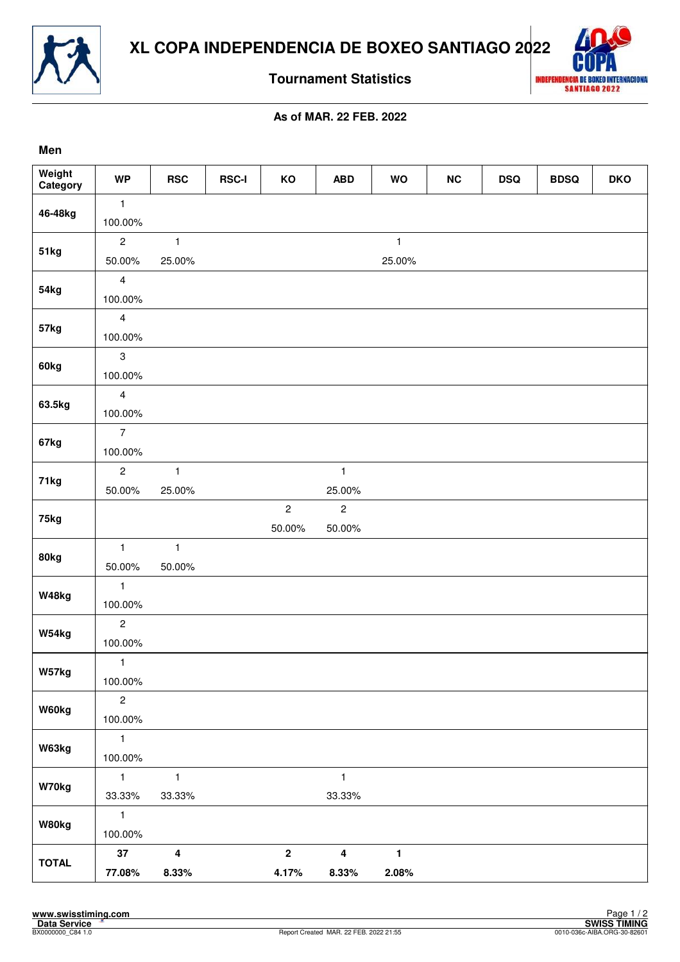



**Tournament Statistics**

## **As of MAR. 22 FEB. 2022**

| Men                |                         |                         |              |                         |                         |              |    |            |             |            |
|--------------------|-------------------------|-------------------------|--------------|-------------------------|-------------------------|--------------|----|------------|-------------|------------|
| Weight<br>Category | <b>WP</b>               | <b>RSC</b>              | <b>RSC-I</b> | KO                      | <b>ABD</b>              | WO           | NC | <b>DSQ</b> | <b>BDSQ</b> | <b>DKO</b> |
| 46-48kg            | $\mathbf{1}$            |                         |              |                         |                         |              |    |            |             |            |
|                    | 100.00%                 |                         |              |                         |                         |              |    |            |             |            |
| <b>51kg</b>        | $\overline{2}$          | $\mathbf{1}$            |              |                         |                         | $\mathbf{1}$ |    |            |             |            |
|                    | 50.00%                  | 25.00%                  |              |                         |                         | 25.00%       |    |            |             |            |
| 54kg               | $\overline{4}$          |                         |              |                         |                         |              |    |            |             |            |
|                    | 100.00%                 |                         |              |                         |                         |              |    |            |             |            |
| 57kg               | $\overline{4}$          |                         |              |                         |                         |              |    |            |             |            |
|                    | 100.00%                 |                         |              |                         |                         |              |    |            |             |            |
| 60kg               | $\mathbf{3}$            |                         |              |                         |                         |              |    |            |             |            |
|                    | 100.00%                 |                         |              |                         |                         |              |    |            |             |            |
| 63.5kg             | $\overline{4}$          |                         |              |                         |                         |              |    |            |             |            |
|                    | 100.00%                 |                         |              |                         |                         |              |    |            |             |            |
| 67kg               | $\overline{7}$          |                         |              |                         |                         |              |    |            |             |            |
|                    | 100.00%                 |                         |              |                         |                         |              |    |            |             |            |
| 71kg               | $\overline{c}$          | $\mathbf{1}$            |              |                         | $\mathbf{1}$            |              |    |            |             |            |
|                    | 50.00%                  | 25.00%                  |              |                         | 25.00%                  |              |    |            |             |            |
| 75kg               |                         |                         |              | $\overline{2}$          | $\mathbf{2}$            |              |    |            |             |            |
|                    |                         |                         |              | 50.00%                  | 50.00%                  |              |    |            |             |            |
| 80kg               | $\mathbf{1}$            | $\mathbf{1}$            |              |                         |                         |              |    |            |             |            |
|                    | 50.00%                  | 50.00%                  |              |                         |                         |              |    |            |             |            |
| W48kg              | $\mathbf{1}$            |                         |              |                         |                         |              |    |            |             |            |
|                    | 100.00%                 |                         |              |                         |                         |              |    |            |             |            |
| W54kg              | $\overline{c}$          |                         |              |                         |                         |              |    |            |             |            |
|                    | 100.00%                 |                         |              |                         |                         |              |    |            |             |            |
| W57kg              | $\mathbf{1}$            |                         |              |                         |                         |              |    |            |             |            |
|                    | 100.00%                 |                         |              |                         |                         |              |    |            |             |            |
| W60kg              | $\sqrt{2}$              |                         |              |                         |                         |              |    |            |             |            |
|                    | 100.00%                 |                         |              |                         |                         |              |    |            |             |            |
| W63kg              | $\mathbf{1}$            |                         |              |                         |                         |              |    |            |             |            |
|                    | 100.00%                 |                         |              |                         |                         |              |    |            |             |            |
| W70kg              | $\mathbf{1}$            | $\mathbf{1}$            |              |                         | $\mathbf{1}$            |              |    |            |             |            |
|                    | 33.33%                  | 33.33%                  |              |                         | 33.33%                  |              |    |            |             |            |
| W80kg              | $\mathbf{1}$<br>100.00% |                         |              |                         |                         |              |    |            |             |            |
|                    | $37\,$                  | $\overline{\mathbf{4}}$ |              | $\overline{\mathbf{2}}$ | $\overline{\mathbf{4}}$ | $\mathbf{1}$ |    |            |             |            |
| <b>TOTAL</b>       |                         |                         |              |                         |                         | 2.08%        |    |            |             |            |
|                    | 77.08%                  | 8.33%                   |              | 4.17%                   | 8.33%                   |              |    |            |             |            |